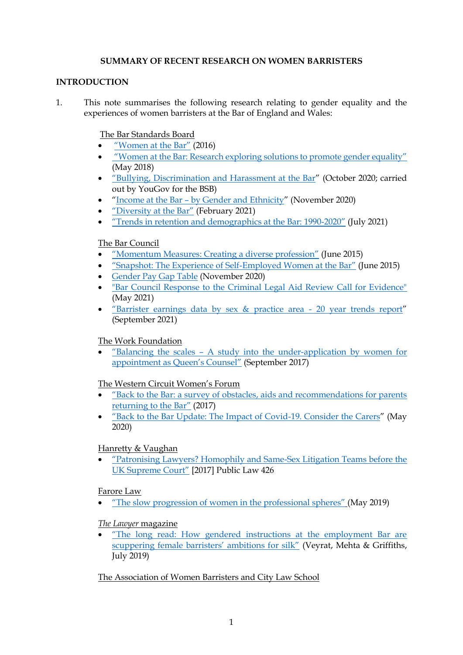### **SUMMARY OF RECENT RESEARCH ON WOMEN BARRISTERS**

#### **INTRODUCTION**

1. This note summarises the following research relating to gender equality and the experiences of women barristers at the Bar of England and Wales:

The Bar Standards Board

- ["Women at the Bar"](https://www.barstandardsboard.org.uk/uploads/assets/14d46f77-a7cb-4880-8230f7a763649d2c/womenatthebar-fullreport-final120716.pdf) (2016)
- ["Women at the Bar: Research exploring solutions to promote gender equality"](https://www.barstandardsboard.org.uk/uploads/assets/118b1db5-d15f-4e53-a214b0e71622f9aa/womenatthebarreportv4.pdf) (May 2018)
- ["Bullying, Discrimination and Harassment at the Bar"](https://www.barstandardsboard.org.uk/uploads/assets/896b55e0-72b2-4388-be291617735b8a25/e5923260-c53a-4176-8b6bc7d4c22f0fb4/October-2020-BDH-at-the-Bar-full-report.pdf) (October 2020; carried out by YouGov for the BSB)
- "Income at the Bar [by Gender and Ethnicity](https://www.barstandardsboard.org.uk/uploads/assets/1ee64764-cd34-4817-80174ca6304f1ac0/Income-at-the-Bar-by-Gender-and-Ethnicity-Final.pdf)" (November 2020)
- ["Diversity at the Bar"](https://www.barstandardsboard.org.uk/uploads/assets/88edd1b1-0edc-4635-9a3dc9497db06972/BSB-Report-on-Diversity-at-the-Bar-2020.pdf) (February 2021)
- "Trends in retention [and demographics at the Bar: 1990-](https://www.barstandardsboard.org.uk/uploads/assets/12aaca1f-4d21-4f5a-b213641c63dae406/Trends-in-demographics-and-retention-at-the-Bar-1990-2020-Full-version.pdf)2020" (July 2021)

# The Bar Council

- ["Momentum Measures: Creating a diverse profession"](https://www.barcouncil.org.uk/resource/momentum-measures.html) (June 2015)
- ["Snapshot: The Experience of Self](https://www.barcouncil.org.uk/resource/snapshot-the-experience-of-self-employed-women-at-the-bar.html)-Employed Women at the Bar" (June 2015)
- [Gender Pay Gap Table](https://www.barcouncil.org.uk/uploads/assets/5cf7853a-5878-45f2-9420075b6f3a58a8/Bar-Council-Gender-Pay-Gap-Table-November-2020.pdf) (November 2020)
- ["Bar Council Response to the Criminal Legal Aid Review Call for Evidence"](https://www.barcouncil.org.uk/uploads/assets/7bb32f9d-ffce-4ce0-aa50239091e2713f/CLAR-Bar-Council-submission-final.pdf) (May 2021)
- "Barrister earnings dat[a by sex & practice area -](https://www.barcouncil.org.uk/resource/earnings-data-by-sex-2021.html) 20 year trends report" (September 2021)

# The Work Foundation

 "Balancing the scales – [A study into the under-application by women for](https://www.lancaster.ac.uk/media/lancaster-university/content-assets/documents/lums/work-foundation/BalancingthescalesupdatedMOAccess.pdf)  [appointment as Queen's Counsel"](https://www.lancaster.ac.uk/media/lancaster-university/content-assets/documents/lums/work-foundation/BalancingthescalesupdatedMOAccess.pdf) (September 2017)

# The Western Circuit Women's Forum

- "Back to the Bar[: a survey of obstacles, aids and recommendations for parents](https://westerncircuit.co.uk/wp-content/uploads/2018/11/WCWF-Back-to-the-Bar-Final-version.pdf)  [returning to the Bar](https://westerncircuit.co.uk/wp-content/uploads/2018/11/WCWF-Back-to-the-Bar-Final-version.pdf)" (2017)
- "Back to the Bar [Update: The Impact of Covid-19. Consider the Carers](https://westerncircuit.co.uk/wp-content/uploads/2020/05/WCWF-Back-to-the-Bar-Update-The-Impact-of-Covid-19.pdf)" (May 2020)

# Hanretty & Vaughan

 ["Patronising Lawyers? Homophily and Same](http://chrishanretty.co.uk/pubs/2017-pl.pdf)-Sex Litigation Teams before the [UK Supreme Court"](http://chrishanretty.co.uk/pubs/2017-pl.pdf) [2017] Public Law 426

# Farore Law

["The slow progression of women in the professional spheres"](https://www.farorelaw.co.uk/farore-law-report-may-2019) (May 2019)

# *The Lawyer* magazine

 ["The long read: How gendered instructions at the employment Bar are](https://www.thelawyer.com/the-long-read-gender-crisis-at-the-bar/)  [scuppering female barristers' ambitions for silk"](https://www.thelawyer.com/the-long-read-gender-crisis-at-the-bar/) (Veyrat, Mehta & Griffiths, July 2019)

# The Association of Women Barristers and City Law School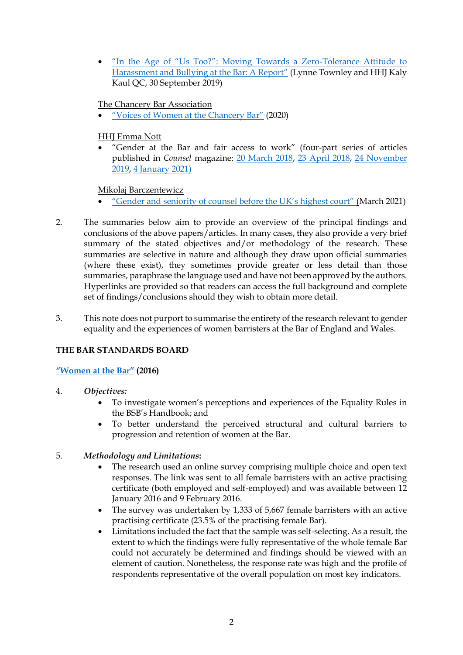• ["In the Age of "Us Too?": Moving Towards a Zero](https://www.city.ac.uk/__data/assets/pdf_file/0006/492594/AWB-Anti-Bullying-Round-Table-Report-Oct-2019.pdf)-Tolerance Attitude to [Harassment and Bullying](https://www.city.ac.uk/__data/assets/pdf_file/0006/492594/AWB-Anti-Bullying-Round-Table-Report-Oct-2019.pdf) at the Bar: A Report" (Lynne Townley and HHJ Kaly Kaul QC, 30 September 2019)

# The Chancery Bar Association

["Voices of Women at the Chancery](https://www.chba.org.uk/for-members/library/consultation-responses/voices-of-women-at-chancery-bar) Bar" (2020)

# HHJ Emma Nott

 "Gender at the Bar and fair access to work" (four-part series of articles published in *Counsel* magazine: [20 March 2018,](https://www.counselmagazine.co.uk/articles/gender-the-bar-and-fair-access-work-1) [23 April 2018,](https://www.counselmagazine.co.uk/articles/gender-the-bar-and-fair-access-work-2) [24 November](https://www.counselmagazine.co.uk/articles/gender-at-the-bar-and-fair-access-to-work-(3))  [2019,](https://www.counselmagazine.co.uk/articles/gender-at-the-bar-and-fair-access-to-work-(3)) [4 January 2021\)](https://www.counselmagazine.co.uk/articles/gender-at-the-bar-fair-access-to-work-(4))

Mikolaj Barczentewicz

- ["Gender and seniority of counsel before the UK's highest court"](https://courts.barczentewicz.com/) (March 2021)
- 2. The summaries below aim to provide an overview of the principal findings and conclusions of the above papers/articles. In many cases, they also provide a very brief summary of the stated objectives and/or methodology of the research. These summaries are selective in nature and although they draw upon official summaries (where these exist), they sometimes provide greater or less detail than those summaries, paraphrase the language used and have not been approved by the authors. Hyperlinks are provided so that readers can access the full background and complete set of findings/conclusions should they wish to obtain more detail.
- 3. This note does not purport to summarise the entirety of the research relevant to gender equality and the experiences of women barristers at the Bar of England and Wales.

# **THE BAR STANDARDS BOARD**

# **["Women at the Bar"](https://www.barstandardsboard.org.uk/uploads/assets/14d46f77-a7cb-4880-8230f7a763649d2c/womenatthebar-fullreport-final120716.pdf) (2016)**

- 4. *Objectives:*
	- To investigate women's perceptions and experiences of the Equality Rules in the BSB's Handbook; and
	- To better understand the perceived structural and cultural barriers to progression and retention of women at the Bar.
- 5. *Methodology and Limitations***:**
	- The research used an online survey comprising multiple choice and open text responses. The link was sent to all female barristers with an active practising certificate (both employed and self-employed) and was available between 12 January 2016 and 9 February 2016.
	- The survey was undertaken by 1,333 of 5,667 female barristers with an active practising certificate (23.5% of the practising female Bar).
	- Limitations included the fact that the sample was self-selecting. As a result, the extent to which the findings were fully representative of the whole female Bar could not accurately be determined and findings should be viewed with an element of caution. Nonetheless, the response rate was high and the profile of respondents representative of the overall population on most key indicators.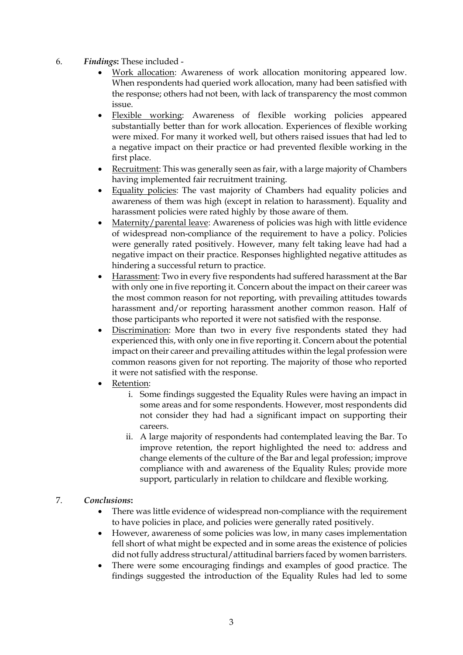- 6. *Findings***:** These included
	- Work allocation: Awareness of work allocation monitoring appeared low. When respondents had queried work allocation, many had been satisfied with the response; others had not been, with lack of transparency the most common issue.
	- Flexible working: Awareness of flexible working policies appeared substantially better than for work allocation. Experiences of flexible working were mixed. For many it worked well, but others raised issues that had led to a negative impact on their practice or had prevented flexible working in the first place.
	- Recruitment: This was generally seen as fair, with a large majority of Chambers having implemented fair recruitment training.
	- Equality policies: The vast majority of Chambers had equality policies and awareness of them was high (except in relation to harassment). Equality and harassment policies were rated highly by those aware of them.
	- Maternity/parental leave: Awareness of policies was high with little evidence of widespread non-compliance of the requirement to have a policy. Policies were generally rated positively. However, many felt taking leave had had a negative impact on their practice. Responses highlighted negative attitudes as hindering a successful return to practice.
	- Harassment: Two in every five respondents had suffered harassment at the Bar with only one in five reporting it. Concern about the impact on their career was the most common reason for not reporting, with prevailing attitudes towards harassment and/or reporting harassment another common reason. Half of those participants who reported it were not satisfied with the response.
	- Discrimination: More than two in every five respondents stated they had experienced this, with only one in five reporting it. Concern about the potential impact on their career and prevailing attitudes within the legal profession were common reasons given for not reporting. The majority of those who reported it were not satisfied with the response.
	- Retention:
		- i. Some findings suggested the Equality Rules were having an impact in some areas and for some respondents. However, most respondents did not consider they had had a significant impact on supporting their careers.
		- ii. A large majority of respondents had contemplated leaving the Bar. To improve retention, the report highlighted the need to: address and change elements of the culture of the Bar and legal profession; improve compliance with and awareness of the Equality Rules; provide more support, particularly in relation to childcare and flexible working.

# 7. *Conclusions***:**

- There was little evidence of widespread non-compliance with the requirement to have policies in place, and policies were generally rated positively.
- However, awareness of some policies was low, in many cases implementation fell short of what might be expected and in some areas the existence of policies did not fully address structural/attitudinal barriers faced by women barristers.
- There were some encouraging findings and examples of good practice. The findings suggested the introduction of the Equality Rules had led to some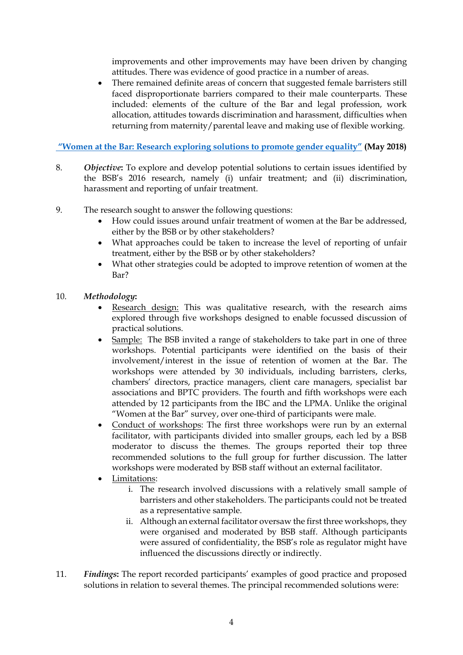improvements and other improvements may have been driven by changing attitudes. There was evidence of good practice in a number of areas.

 There remained definite areas of concern that suggested female barristers still faced disproportionate barriers compared to their male counterparts. These included: elements of the culture of the Bar and legal profession, work allocation, attitudes towards discrimination and harassment, difficulties when returning from maternity/parental leave and making use of flexible working.

**["Women at the Bar: Research exploring solutions to promote gender equality"](https://www.barstandardsboard.org.uk/uploads/assets/118b1db5-d15f-4e53-a214b0e71622f9aa/womenatthebarreportv4.pdf) (May 2018)**

- 8. *Objective***:** To explore and develop potential solutions to certain issues identified by the BSB's 2016 research, namely (i) unfair treatment; and (ii) discrimination, harassment and reporting of unfair treatment.
- 9. The research sought to answer the following questions:
	- How could issues around unfair treatment of women at the Bar be addressed, either by the BSB or by other stakeholders?
	- What approaches could be taken to increase the level of reporting of unfair treatment, either by the BSB or by other stakeholders?
	- What other strategies could be adopted to improve retention of women at the Bar?
- 10. *Methodology***:** 
	- Research design: This was qualitative research, with the research aims explored through five workshops designed to enable focussed discussion of practical solutions.
	- Sample: The BSB invited a range of stakeholders to take part in one of three workshops. Potential participants were identified on the basis of their involvement/interest in the issue of retention of women at the Bar. The workshops were attended by 30 individuals, including barristers, clerks, chambers' directors, practice managers, client care managers, specialist bar associations and BPTC providers. The fourth and fifth workshops were each attended by 12 participants from the IBC and the LPMA. Unlike the original "Women at the Bar" survey, over one-third of participants were male.
	- Conduct of workshops: The first three workshops were run by an external facilitator, with participants divided into smaller groups, each led by a BSB moderator to discuss the themes. The groups reported their top three recommended solutions to the full group for further discussion. The latter workshops were moderated by BSB staff without an external facilitator.
	- Limitations:
		- i. The research involved discussions with a relatively small sample of barristers and other stakeholders. The participants could not be treated as a representative sample.
		- ii. Although an external facilitator oversaw the first three workshops, they were organised and moderated by BSB staff. Although participants were assured of confidentiality, the BSB's role as regulator might have influenced the discussions directly or indirectly.
- 11. *Findings***:** The report recorded participants' examples of good practice and proposed solutions in relation to several themes. The principal recommended solutions were: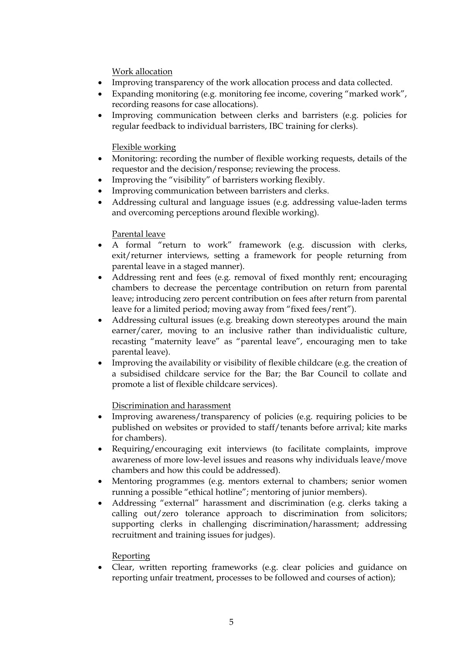Work allocation

- Improving transparency of the work allocation process and data collected.
- Expanding monitoring (e.g. monitoring fee income, covering "marked work", recording reasons for case allocations).
- Improving communication between clerks and barristers (e.g. policies for regular feedback to individual barristers, IBC training for clerks).

### Flexible working

- Monitoring: recording the number of flexible working requests, details of the requestor and the decision/response; reviewing the process.
- Improving the "visibility" of barristers working flexibly.
- Improving communication between barristers and clerks.
- Addressing cultural and language issues (e.g. addressing value-laden terms and overcoming perceptions around flexible working).

### Parental leave

- A formal "return to work" framework (e.g. discussion with clerks, exit/returner interviews, setting a framework for people returning from parental leave in a staged manner).
- Addressing rent and fees (e.g. removal of fixed monthly rent; encouraging chambers to decrease the percentage contribution on return from parental leave; introducing zero percent contribution on fees after return from parental leave for a limited period; moving away from "fixed fees/rent").
- Addressing cultural issues (e.g. breaking down stereotypes around the main earner/carer, moving to an inclusive rather than individualistic culture, recasting "maternity leave" as "parental leave", encouraging men to take parental leave).
- Improving the availability or visibility of flexible childcare (e.g. the creation of a subsidised childcare service for the Bar; the Bar Council to collate and promote a list of flexible childcare services).

# Discrimination and harassment

- Improving awareness/transparency of policies (e.g. requiring policies to be published on websites or provided to staff/tenants before arrival; kite marks for chambers).
- Requiring/encouraging exit interviews (to facilitate complaints, improve awareness of more low-level issues and reasons why individuals leave/move chambers and how this could be addressed).
- Mentoring programmes (e.g. mentors external to chambers; senior women running a possible "ethical hotline"; mentoring of junior members).
- Addressing "external" harassment and discrimination (e.g. clerks taking a calling out/zero tolerance approach to discrimination from solicitors; supporting clerks in challenging discrimination/harassment; addressing recruitment and training issues for judges).

# Reporting

 Clear, written reporting frameworks (e.g. clear policies and guidance on reporting unfair treatment, processes to be followed and courses of action);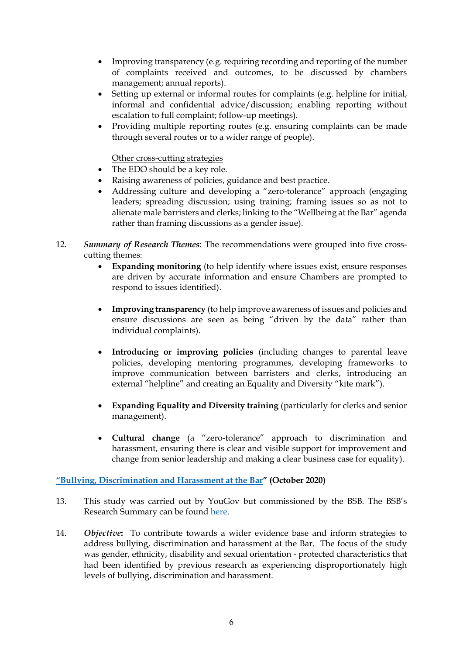- Improving transparency (e.g. requiring recording and reporting of the number of complaints received and outcomes, to be discussed by chambers management; annual reports).
- Setting up external or informal routes for complaints (e.g. helpline for initial, informal and confidential advice/discussion; enabling reporting without escalation to full complaint; follow-up meetings).
- Providing multiple reporting routes (e.g. ensuring complaints can be made through several routes or to a wider range of people).

#### Other cross-cutting strategies

- The EDO should be a key role.
- Raising awareness of policies, guidance and best practice.
- Addressing culture and developing a "zero-tolerance" approach (engaging leaders; spreading discussion; using training; framing issues so as not to alienate male barristers and clerks; linking to the "Wellbeing at the Bar" agenda rather than framing discussions as a gender issue).
- 12. *Summary of Research Themes*: The recommendations were grouped into five crosscutting themes:
	- **Expanding monitoring** (to help identify where issues exist, ensure responses are driven by accurate information and ensure Chambers are prompted to respond to issues identified).
	- **Improving transparency** (to help improve awareness of issues and policies and ensure discussions are seen as being "driven by the data" rather than individual complaints).
	- **Introducing or improving policies** (including changes to parental leave policies, developing mentoring programmes, developing frameworks to improve communication between barristers and clerks, introducing an external "helpline" and creating an Equality and Diversity "kite mark").
	- **Expanding Equality and Diversity training** (particularly for clerks and senior management).
	- **Cultural change** (a "zero-tolerance" approach to discrimination and harassment, ensuring there is clear and visible support for improvement and change from senior leadership and making a clear business case for equality).

# **["Bullying, Discrimination and Harassment at the Bar"](https://www.barstandardsboard.org.uk/uploads/assets/896b55e0-72b2-4388-be291617735b8a25/e5923260-c53a-4176-8b6bc7d4c22f0fb4/October-2020-BDH-at-the-Bar-full-report.pdf) (October 2020)**

- 13. This study was carried out by YouGov but commissioned by the BSB. The BSB's Research Summary can be found [here.](https://www.barstandardsboard.org.uk/uploads/assets/fb2b0f3a-2e90-4874-854e1b4ebe843a31/October-2020-BDH-Research-summary.pdf)
- 14. *Objective***:** To contribute towards a wider evidence base and inform strategies to address bullying, discrimination and harassment at the Bar. The focus of the study was gender, ethnicity, disability and sexual orientation - protected characteristics that had been identified by previous research as experiencing disproportionately high levels of bullying, discrimination and harassment.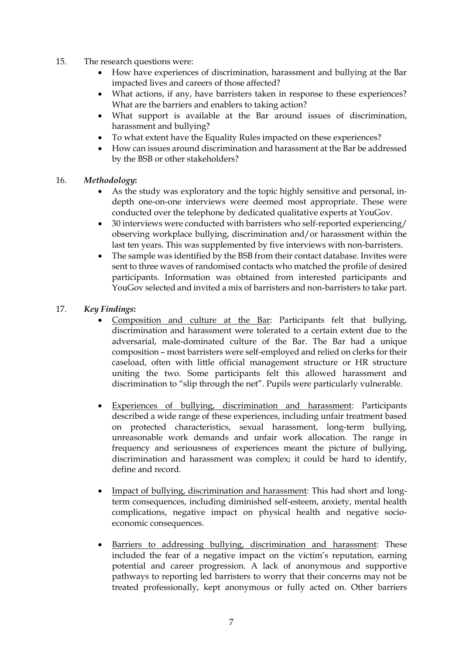- 15. The research questions were:
	- How have experiences of discrimination, harassment and bullying at the Bar impacted lives and careers of those affected?
	- What actions, if any, have barristers taken in response to these experiences? What are the barriers and enablers to taking action?
	- What support is available at the Bar around issues of discrimination, harassment and bullying?
	- To what extent have the Equality Rules impacted on these experiences?
	- How can issues around discrimination and harassment at the Bar be addressed by the BSB or other stakeholders?
- 16. *Methodology***:** 
	- As the study was exploratory and the topic highly sensitive and personal, indepth one-on-one interviews were deemed most appropriate. These were conducted over the telephone by dedicated qualitative experts at YouGov.
	- 30 interviews were conducted with barristers who self-reported experiencing/ observing workplace bullying, discrimination and/or harassment within the last ten years. This was supplemented by five interviews with non-barristers.
	- The sample was identified by the BSB from their contact database. Invites were sent to three waves of randomised contacts who matched the profile of desired participants. Information was obtained from interested participants and YouGov selected and invited a mix of barristers and non-barristers to take part.
- 17. *Key Findings***:** 
	- Composition and culture at the Bar: Participants felt that bullying, discrimination and harassment were tolerated to a certain extent due to the adversarial, male-dominated culture of the Bar. The Bar had a unique composition – most barristers were self-employed and relied on clerks for their caseload, often with little official management structure or HR structure uniting the two. Some participants felt this allowed harassment and discrimination to "slip through the net". Pupils were particularly vulnerable.
	- Experiences of bullying, discrimination and harassment: Participants described a wide range of these experiences, including unfair treatment based on protected characteristics, sexual harassment, long-term bullying, unreasonable work demands and unfair work allocation. The range in frequency and seriousness of experiences meant the picture of bullying, discrimination and harassment was complex; it could be hard to identify, define and record.
	- Impact of bullying, discrimination and harassment: This had short and longterm consequences, including diminished self-esteem, anxiety, mental health complications, negative impact on physical health and negative socioeconomic consequences.
	- Barriers to addressing bullying, discrimination and harassment: These included the fear of a negative impact on the victim's reputation, earning potential and career progression. A lack of anonymous and supportive pathways to reporting led barristers to worry that their concerns may not be treated professionally, kept anonymous or fully acted on. Other barriers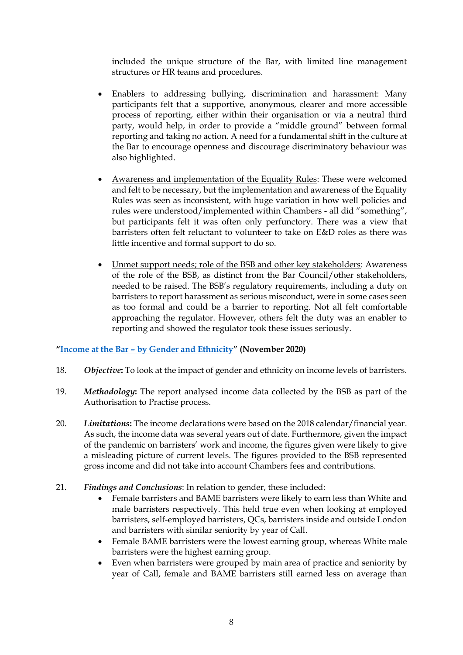included the unique structure of the Bar, with limited line management structures or HR teams and procedures.

- Enablers to addressing bullying, discrimination and harassment: Many participants felt that a supportive, anonymous, clearer and more accessible process of reporting, either within their organisation or via a neutral third party, would help, in order to provide a "middle ground" between formal reporting and taking no action. A need for a fundamental shift in the culture at the Bar to encourage openness and discourage discriminatory behaviour was also highlighted.
- Awareness and implementation of the Equality Rules: These were welcomed and felt to be necessary, but the implementation and awareness of the Equality Rules was seen as inconsistent, with huge variation in how well policies and rules were understood/implemented within Chambers - all did "something", but participants felt it was often only perfunctory. There was a view that barristers often felt reluctant to volunteer to take on E&D roles as there was little incentive and formal support to do so.
- Unmet support needs; role of the BSB and other key stakeholders: Awareness of the role of the BSB, as distinct from the Bar Council/other stakeholders, needed to be raised. The BSB's regulatory requirements, including a duty on barristers to report harassment as serious misconduct, were in some cases seen as too formal and could be a barrier to reporting. Not all felt comfortable approaching the regulator. However, others felt the duty was an enabler to reporting and showed the regulator took these issues seriously.

# **"Income at the Bar – [by Gender and Ethnicity](https://www.barstandardsboard.org.uk/uploads/assets/1ee64764-cd34-4817-80174ca6304f1ac0/Income-at-the-Bar-by-Gender-and-Ethnicity-Final.pdf)" (November 2020)**

- 18. *Objective***:** To look at the impact of gender and ethnicity on income levels of barristers.
- 19. *Methodology***:** The report analysed income data collected by the BSB as part of the Authorisation to Practise process.
- 20. *Limitations***:** The income declarations were based on the 2018 calendar/financial year. As such, the income data was several years out of date. Furthermore, given the impact of the pandemic on barristers' work and income, the figures given were likely to give a misleading picture of current levels. The figures provided to the BSB represented gross income and did not take into account Chambers fees and contributions.
- 21. *Findings and Conclusions*: In relation to gender, these included:
	- Female barristers and BAME barristers were likely to earn less than White and male barristers respectively. This held true even when looking at employed barristers, self-employed barristers, QCs, barristers inside and outside London and barristers with similar seniority by year of Call.
	- Female BAME barristers were the lowest earning group, whereas White male barristers were the highest earning group.
	- Even when barristers were grouped by main area of practice and seniority by year of Call, female and BAME barristers still earned less on average than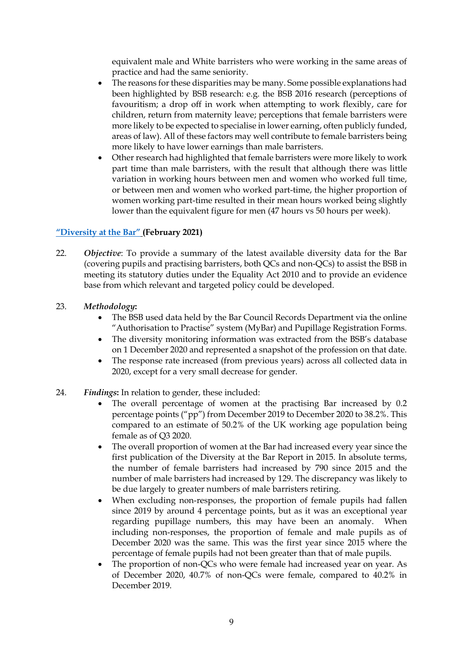equivalent male and White barristers who were working in the same areas of practice and had the same seniority.

- The reasons for these disparities may be many. Some possible explanations had been highlighted by BSB research: e.g. the BSB 2016 research (perceptions of favouritism; a drop off in work when attempting to work flexibly, care for children, return from maternity leave; perceptions that female barristers were more likely to be expected to specialise in lower earning, often publicly funded, areas of law). All of these factors may well contribute to female barristers being more likely to have lower earnings than male barristers.
- Other research had highlighted that female barristers were more likely to work part time than male barristers, with the result that although there was little variation in working hours between men and women who worked full time, or between men and women who worked part-time, the higher proportion of women working part-time resulted in their mean hours worked being slightly lower than the equivalent figure for men (47 hours vs 50 hours per week).

# **["Diversity at the Bar"](https://www.barstandardsboard.org.uk/uploads/assets/88edd1b1-0edc-4635-9a3dc9497db06972/BSB-Report-on-Diversity-at-the-Bar-2020.pdf) (February 2021)**

- 22. *Objective*: To provide a summary of the latest available diversity data for the Bar (covering pupils and practising barristers, both QCs and non-QCs) to assist the BSB in meeting its statutory duties under the Equality Act 2010 and to provide an evidence base from which relevant and targeted policy could be developed.
- 23. *Methodology***:** 
	- The BSB used data held by the Bar Council Records Department via the online "Authorisation to Practise" system (MyBar) and Pupillage Registration Forms.
	- The diversity monitoring information was extracted from the BSB's database on 1 December 2020 and represented a snapshot of the profession on that date.
	- The response rate increased (from previous years) across all collected data in 2020, except for a very small decrease for gender.
- 24. *Findings***:** In relation to gender, these included:
	- The overall percentage of women at the practising Bar increased by 0.2 percentage points ("pp") from December 2019 to December 2020 to 38.2%. This compared to an estimate of 50.2% of the UK working age population being female as of Q3 2020.
	- The overall proportion of women at the Bar had increased every year since the first publication of the Diversity at the Bar Report in 2015. In absolute terms, the number of female barristers had increased by 790 since 2015 and the number of male barristers had increased by 129. The discrepancy was likely to be due largely to greater numbers of male barristers retiring.
	- When excluding non-responses, the proportion of female pupils had fallen since 2019 by around 4 percentage points, but as it was an exceptional year regarding pupillage numbers, this may have been an anomaly. When including non-responses, the proportion of female and male pupils as of December 2020 was the same. This was the first year since 2015 where the percentage of female pupils had not been greater than that of male pupils.
	- The proportion of non-QCs who were female had increased year on year. As of December 2020, 40.7% of non-QCs were female, compared to 40.2% in December 2019.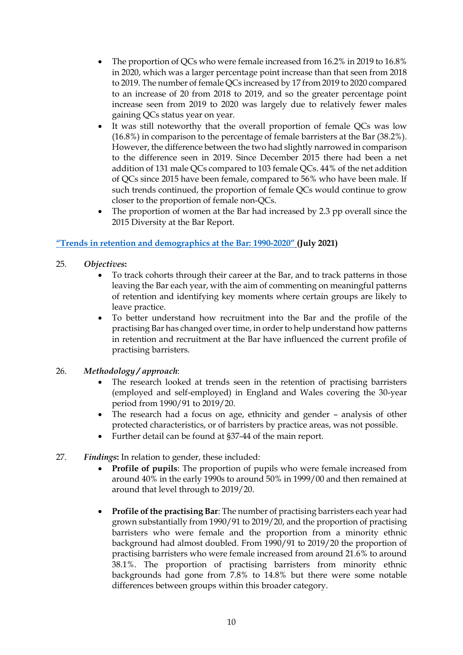- The proportion of QCs who were female increased from 16.2% in 2019 to 16.8% in 2020, which was a larger percentage point increase than that seen from 2018 to 2019. The number of female QCs increased by 17 from 2019 to 2020 compared to an increase of 20 from 2018 to 2019, and so the greater percentage point increase seen from 2019 to 2020 was largely due to relatively fewer males gaining QCs status year on year.
- It was still noteworthy that the overall proportion of female QCs was low (16.8%) in comparison to the percentage of female barristers at the Bar (38.2%). However, the difference between the two had slightly narrowed in comparison to the difference seen in 2019. Since December 2015 there had been a net addition of 131 male QCs compared to 103 female QCs. 44% of the net addition of QCs since 2015 have been female, compared to 56% who have been male. If such trends continued, the proportion of female QCs would continue to grow closer to the proportion of female non-QCs.
- The proportion of women at the Bar had increased by 2.3 pp overall since the 2015 Diversity at the Bar Report.

# **["Trends in retention and demographics at the Bar: 1990](https://www.barstandardsboard.org.uk/uploads/assets/12aaca1f-4d21-4f5a-b213641c63dae406/Trends-in-demographics-and-retention-at-the-Bar-1990-2020-Full-version.pdf)-2020" (July 2021)**

- 25. *Objectives***:** 
	- To track cohorts through their career at the Bar, and to track patterns in those leaving the Bar each year, with the aim of commenting on meaningful patterns of retention and identifying key moments where certain groups are likely to leave practice.
	- To better understand how recruitment into the Bar and the profile of the practising Bar has changed over time, in order to help understand how patterns in retention and recruitment at the Bar have influenced the current profile of practising barristers.

# 26. *Methodology / approach*:

- The research looked at trends seen in the retention of practising barristers (employed and self-employed) in England and Wales covering the 30-year period from 1990/91 to 2019/20.
- The research had a focus on age, ethnicity and gender analysis of other protected characteristics, or of barristers by practice areas, was not possible.
- Further detail can be found at §37-44 of the main report.
- 27. *Findings***:** In relation to gender, these included:
	- **Profile of pupils**: The proportion of pupils who were female increased from around 40% in the early 1990s to around 50% in 1999/00 and then remained at around that level through to 2019/20.
	- **Profile of the practising Bar**: The number of practising barristers each year had grown substantially from 1990/91 to 2019/20, and the proportion of practising barristers who were female and the proportion from a minority ethnic background had almost doubled. From 1990/91 to 2019/20 the proportion of practising barristers who were female increased from around 21.6% to around 38.1%. The proportion of practising barristers from minority ethnic backgrounds had gone from 7.8% to 14.8% but there were some notable differences between groups within this broader category.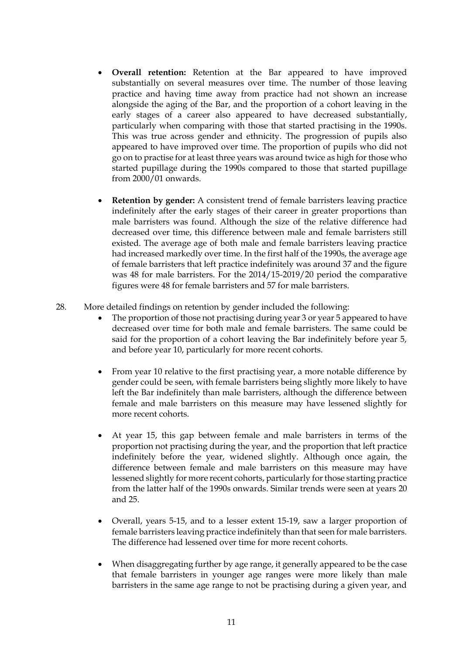- **Overall retention:** Retention at the Bar appeared to have improved substantially on several measures over time. The number of those leaving practice and having time away from practice had not shown an increase alongside the aging of the Bar, and the proportion of a cohort leaving in the early stages of a career also appeared to have decreased substantially, particularly when comparing with those that started practising in the 1990s. This was true across gender and ethnicity. The progression of pupils also appeared to have improved over time. The proportion of pupils who did not go on to practise for at least three years was around twice as high for those who started pupillage during the 1990s compared to those that started pupillage from 2000/01 onwards.
- **Retention by gender:** A consistent trend of female barristers leaving practice indefinitely after the early stages of their career in greater proportions than male barristers was found. Although the size of the relative difference had decreased over time, this difference between male and female barristers still existed. The average age of both male and female barristers leaving practice had increased markedly over time. In the first half of the 1990s, the average age of female barristers that left practice indefinitely was around 37 and the figure was 48 for male barristers. For the 2014/15-2019/20 period the comparative figures were 48 for female barristers and 57 for male barristers.
- 28. More detailed findings on retention by gender included the following:
	- The proportion of those not practising during year 3 or year 5 appeared to have decreased over time for both male and female barristers. The same could be said for the proportion of a cohort leaving the Bar indefinitely before year 5, and before year 10, particularly for more recent cohorts.
	- From year 10 relative to the first practising year, a more notable difference by gender could be seen, with female barristers being slightly more likely to have left the Bar indefinitely than male barristers, although the difference between female and male barristers on this measure may have lessened slightly for more recent cohorts.
	- At year 15, this gap between female and male barristers in terms of the proportion not practising during the year, and the proportion that left practice indefinitely before the year, widened slightly. Although once again, the difference between female and male barristers on this measure may have lessened slightly for more recent cohorts, particularly for those starting practice from the latter half of the 1990s onwards. Similar trends were seen at years 20 and 25.
	- Overall, years 5-15, and to a lesser extent 15-19, saw a larger proportion of female barristers leaving practice indefinitely than that seen for male barristers. The difference had lessened over time for more recent cohorts.
	- When disaggregating further by age range, it generally appeared to be the case that female barristers in younger age ranges were more likely than male barristers in the same age range to not be practising during a given year, and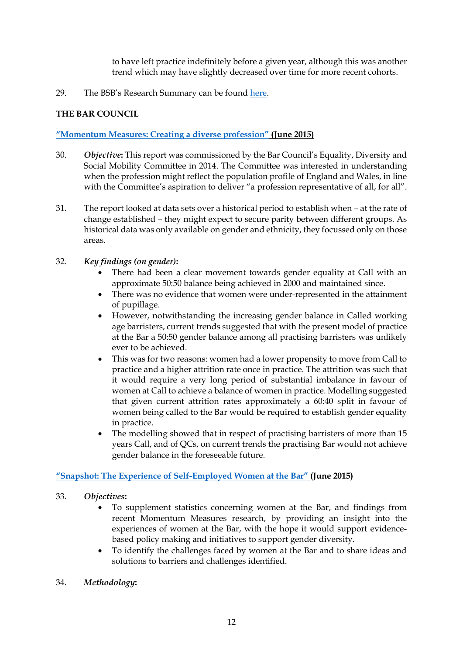to have left practice indefinitely before a given year, although this was another trend which may have slightly decreased over time for more recent cohorts.

29. The BSB's Research Summary can be found [here.](https://www.barstandardsboard.org.uk/uploads/assets/a53ed432-ccc4-4524-a94c19d9c6a6eb16/Research-Summary-Retention-and-Demographics-at-the-Bar.pdf)

# **THE BAR COUNCIL**

# **["Momentum Measures: Creating a diverse profession"](https://www.barcouncil.org.uk/resource/momentum-measures.html) (June 2015)**

- 30. *Objective***:** This report was commissioned by the Bar Council's Equality, Diversity and Social Mobility Committee in 2014. The Committee was interested in understanding when the profession might reflect the population profile of England and Wales, in line with the Committee's aspiration to deliver "a profession representative of all, for all".
- 31. The report looked at data sets over a historical period to establish when at the rate of change established – they might expect to secure parity between different groups. As historical data was only available on gender and ethnicity, they focussed only on those areas.
- 32. *Key findings (on gender)***:** 
	- There had been a clear movement towards gender equality at Call with an approximate 50:50 balance being achieved in 2000 and maintained since.
	- There was no evidence that women were under-represented in the attainment of pupillage.
	- However, notwithstanding the increasing gender balance in Called working age barristers, current trends suggested that with the present model of practice at the Bar a 50:50 gender balance among all practising barristers was unlikely ever to be achieved.
	- This was for two reasons: women had a lower propensity to move from Call to practice and a higher attrition rate once in practice. The attrition was such that it would require a very long period of substantial imbalance in favour of women at Call to achieve a balance of women in practice. Modelling suggested that given current attrition rates approximately a 60:40 split in favour of women being called to the Bar would be required to establish gender equality in practice.
	- The modelling showed that in respect of practising barristers of more than 15 years Call, and of QCs, on current trends the practising Bar would not achieve gender balance in the foreseeable future.

# **["Snapshot: The Experience of Self](https://www.barcouncil.org.uk/resource/snapshot-the-experience-of-self-employed-women-at-the-bar.html)-Employed Women at the Bar" (June 2015)**

# 33. *Objectives***:**

- To supplement statistics concerning women at the Bar, and findings from recent Momentum Measures research, by providing an insight into the experiences of women at the Bar, with the hope it would support evidencebased policy making and initiatives to support gender diversity.
- To identify the challenges faced by women at the Bar and to share ideas and solutions to barriers and challenges identified.
- 34. *Methodology***:**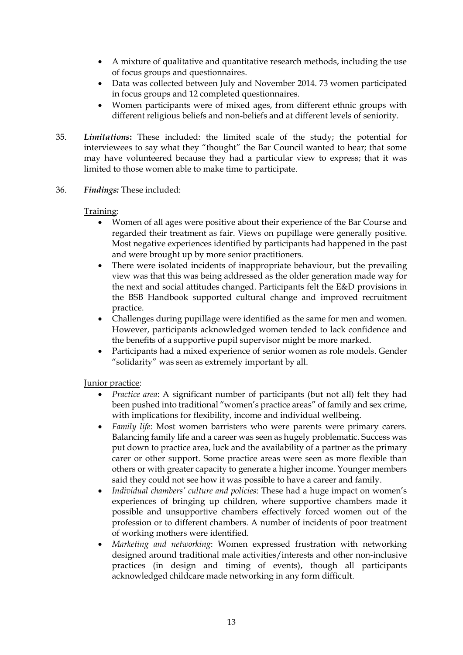- A mixture of qualitative and quantitative research methods, including the use of focus groups and questionnaires.
- Data was collected between July and November 2014. 73 women participated in focus groups and 12 completed questionnaires.
- Women participants were of mixed ages, from different ethnic groups with different religious beliefs and non-beliefs and at different levels of seniority.
- 35. *Limitations***:** These included: the limited scale of the study; the potential for interviewees to say what they "thought" the Bar Council wanted to hear; that some may have volunteered because they had a particular view to express; that it was limited to those women able to make time to participate.
- 36. *Findings:* These included:

### Training:

- Women of all ages were positive about their experience of the Bar Course and regarded their treatment as fair. Views on pupillage were generally positive. Most negative experiences identified by participants had happened in the past and were brought up by more senior practitioners.
- There were isolated incidents of inappropriate behaviour, but the prevailing view was that this was being addressed as the older generation made way for the next and social attitudes changed. Participants felt the E&D provisions in the BSB Handbook supported cultural change and improved recruitment practice.
- Challenges during pupillage were identified as the same for men and women. However, participants acknowledged women tended to lack confidence and the benefits of a supportive pupil supervisor might be more marked.
- Participants had a mixed experience of senior women as role models. Gender "solidarity" was seen as extremely important by all.

# Junior practice:

- *Practice area*: A significant number of participants (but not all) felt they had been pushed into traditional "women's practice areas" of family and sex crime, with implications for flexibility, income and individual wellbeing.
- *Family life*: Most women barristers who were parents were primary carers. Balancing family life and a career was seen as hugely problematic. Success was put down to practice area, luck and the availability of a partner as the primary carer or other support. Some practice areas were seen as more flexible than others or with greater capacity to generate a higher income. Younger members said they could not see how it was possible to have a career and family.
- *Individual chambers' culture and policies*: These had a huge impact on women's experiences of bringing up children, where supportive chambers made it possible and unsupportive chambers effectively forced women out of the profession or to different chambers. A number of incidents of poor treatment of working mothers were identified.
- *Marketing and networking*: Women expressed frustration with networking designed around traditional male activities/interests and other non-inclusive practices (in design and timing of events), though all participants acknowledged childcare made networking in any form difficult.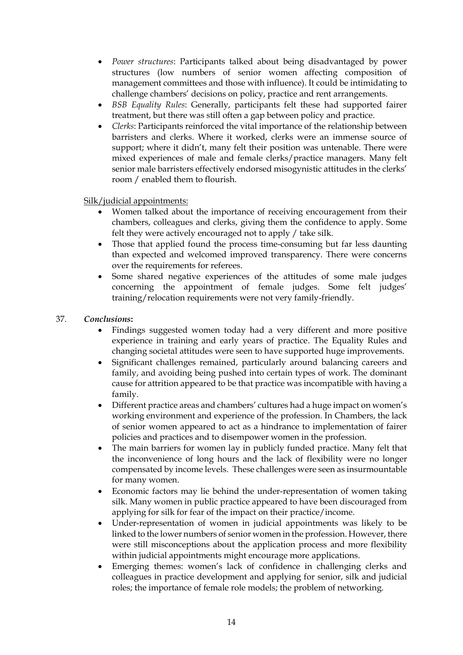- *Power structures*: Participants talked about being disadvantaged by power structures (low numbers of senior women affecting composition of management committees and those with influence). It could be intimidating to challenge chambers' decisions on policy, practice and rent arrangements.
- *BSB Equality Rules*: Generally, participants felt these had supported fairer treatment, but there was still often a gap between policy and practice.
- *Clerks*: Participants reinforced the vital importance of the relationship between barristers and clerks. Where it worked, clerks were an immense source of support; where it didn't, many felt their position was untenable. There were mixed experiences of male and female clerks/practice managers. Many felt senior male barristers effectively endorsed misogynistic attitudes in the clerks' room / enabled them to flourish.

### Silk/judicial appointments:

- Women talked about the importance of receiving encouragement from their chambers, colleagues and clerks, giving them the confidence to apply. Some felt they were actively encouraged not to apply / take silk.
- Those that applied found the process time-consuming but far less daunting than expected and welcomed improved transparency. There were concerns over the requirements for referees.
- Some shared negative experiences of the attitudes of some male judges concerning the appointment of female judges. Some felt judges' training/relocation requirements were not very family-friendly.

### 37. *Conclusions***:**

- Findings suggested women today had a very different and more positive experience in training and early years of practice. The Equality Rules and changing societal attitudes were seen to have supported huge improvements.
- Significant challenges remained, particularly around balancing careers and family, and avoiding being pushed into certain types of work. The dominant cause for attrition appeared to be that practice was incompatible with having a family.
- Different practice areas and chambers' cultures had a huge impact on women's working environment and experience of the profession. In Chambers, the lack of senior women appeared to act as a hindrance to implementation of fairer policies and practices and to disempower women in the profession.
- The main barriers for women lay in publicly funded practice. Many felt that the inconvenience of long hours and the lack of flexibility were no longer compensated by income levels. These challenges were seen as insurmountable for many women.
- Economic factors may lie behind the under-representation of women taking silk. Many women in public practice appeared to have been discouraged from applying for silk for fear of the impact on their practice/income.
- Under-representation of women in judicial appointments was likely to be linked to the lower numbers of senior women in the profession. However, there were still misconceptions about the application process and more flexibility within judicial appointments might encourage more applications.
- Emerging themes: women's lack of confidence in challenging clerks and colleagues in practice development and applying for senior, silk and judicial roles; the importance of female role models; the problem of networking.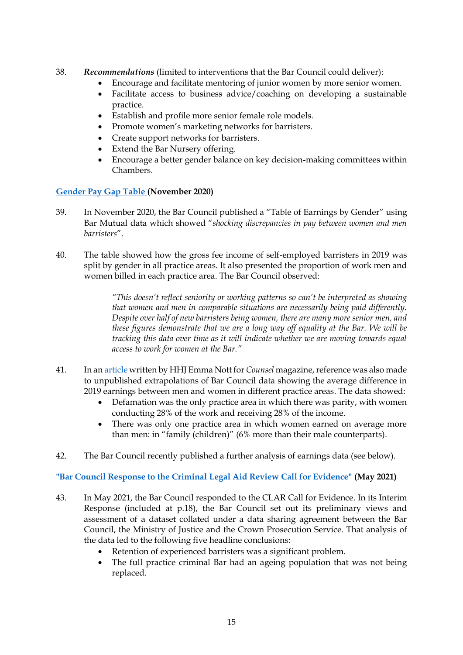- 38. *Recommendations* (limited to interventions that the Bar Council could deliver):
	- Encourage and facilitate mentoring of junior women by more senior women.
	- Facilitate access to business advice/coaching on developing a sustainable practice.
	- Establish and profile more senior female role models.
	- Promote women's marketing networks for barristers.
	- Create support networks for barristers.
	- Extend the Bar Nursery offering.
	- Encourage a better gender balance on key decision-making committees within Chambers.

#### **[Gender Pay Gap Table](https://www.barcouncil.org.uk/uploads/assets/5cf7853a-5878-45f2-9420075b6f3a58a8/Bar-Council-Gender-Pay-Gap-Table-November-2020.pdf) (November 2020)**

- 39. In November 2020, the Bar Council published a "Table of Earnings by Gender" using Bar Mutual data which showed "*shocking discrepancies in pay between women and men barristers*".
- 40. The table showed how the gross fee income of self-employed barristers in 2019 was split by gender in all practice areas. It also presented the proportion of work men and women billed in each practice area. The Bar Council observed:

*"This doesn't reflect seniority or working patterns so can't be interpreted as showing that women and men in comparable situations are necessarily being paid differently. Despite over half of new barristers being women, there are many more senior men, and these figures demonstrate that we are a long way off equality at the Bar. We will be tracking this data over time as it will indicate whether we are moving towards equal access to work for women at the Bar."*

- 41. In a[n article](https://www.counselmagazine.co.uk/articles/gender-at-the-bar-fair-access-to-work-(4)) written by HHJ Emma Nott for *Counsel* magazine, reference was also made to unpublished extrapolations of Bar Council data showing the average difference in 2019 earnings between men and women in different practice areas. The data showed:
	- Defamation was the only practice area in which there was parity, with women conducting 28% of the work and receiving 28% of the income.
	- There was only one practice area in which women earned on average more than men: in "family (children)" (6% more than their male counterparts).
- 42. The Bar Council recently published a further analysis of earnings data (see below).

**["Bar Council Response to the Criminal Legal Aid Review Call for Evidence"](https://www.barcouncil.org.uk/uploads/assets/7bb32f9d-ffce-4ce0-aa50239091e2713f/CLAR-Bar-Council-submission-final.pdf) (May 2021)**

- 43. In May 2021, the Bar Council responded to the CLAR Call for Evidence. In its Interim Response (included at p.18), the Bar Council set out its preliminary views and assessment of a dataset collated under a data sharing agreement between the Bar Council, the Ministry of Justice and the Crown Prosecution Service. That analysis of the data led to the following five headline conclusions:
	- Retention of experienced barristers was a significant problem.
	- The full practice criminal Bar had an ageing population that was not being replaced.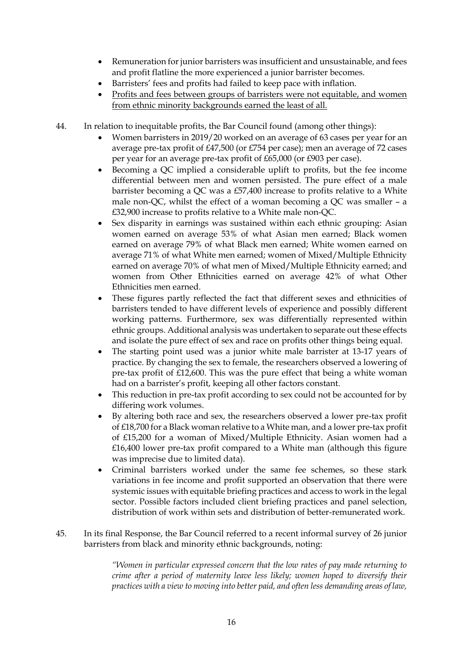- Remuneration for junior barristers was insufficient and unsustainable, and fees and profit flatline the more experienced a junior barrister becomes.
- Barristers' fees and profits had failed to keep pace with inflation.
- Profits and fees between groups of barristers were not equitable, and women from ethnic minority backgrounds earned the least of all.
- 44. In relation to inequitable profits, the Bar Council found (among other things):
	- Women barristers in 2019/20 worked on an average of 63 cases per year for an average pre-tax profit of £47,500 (or £754 per case); men an average of 72 cases per year for an average pre-tax profit of £65,000 (or £903 per case).
	- Becoming a QC implied a considerable uplift to profits, but the fee income differential between men and women persisted. The pure effect of a male barrister becoming a QC was a £57,400 increase to profits relative to a White male non-QC, whilst the effect of a woman becoming a QC was smaller – a £32,900 increase to profits relative to a White male non-QC.
	- Sex disparity in earnings was sustained within each ethnic grouping: Asian women earned on average 53% of what Asian men earned; Black women earned on average 79% of what Black men earned; White women earned on average 71% of what White men earned; women of Mixed/Multiple Ethnicity earned on average 70% of what men of Mixed/Multiple Ethnicity earned; and women from Other Ethnicities earned on average 42% of what Other Ethnicities men earned.
	- These figures partly reflected the fact that different sexes and ethnicities of barristers tended to have different levels of experience and possibly different working patterns. Furthermore, sex was differentially represented within ethnic groups. Additional analysis was undertaken to separate out these effects and isolate the pure effect of sex and race on profits other things being equal.
	- The starting point used was a junior white male barrister at 13-17 years of practice. By changing the sex to female, the researchers observed a lowering of pre-tax profit of £12,600. This was the pure effect that being a white woman had on a barrister's profit, keeping all other factors constant.
	- This reduction in pre-tax profit according to sex could not be accounted for by differing work volumes.
	- By altering both race and sex, the researchers observed a lower pre-tax profit of £18,700 for a Black woman relative to a White man, and a lower pre-tax profit of £15,200 for a woman of Mixed/Multiple Ethnicity. Asian women had a £16,400 lower pre-tax profit compared to a White man (although this figure was imprecise due to limited data).
	- Criminal barristers worked under the same fee schemes, so these stark variations in fee income and profit supported an observation that there were systemic issues with equitable briefing practices and access to work in the legal sector. Possible factors included client briefing practices and panel selection, distribution of work within sets and distribution of better-remunerated work.
- 45. In its final Response, the Bar Council referred to a recent informal survey of 26 junior barristers from black and minority ethnic backgrounds, noting:

*"Women in particular expressed concern that the low rates of pay made returning to crime after a period of maternity leave less likely; women hoped to diversify their practices with a view to moving into better paid, and often less demanding areas of law,*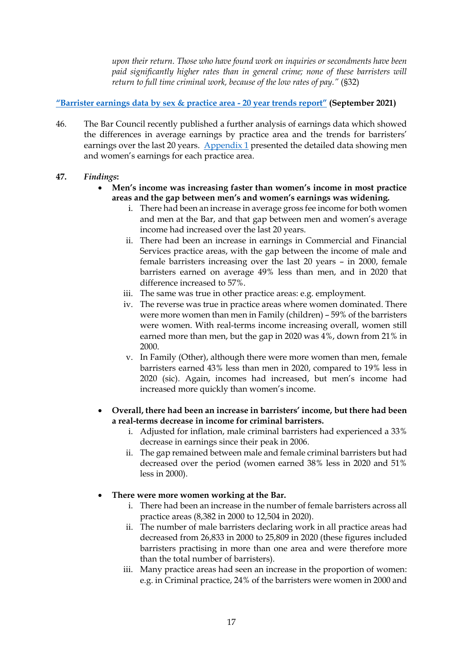*upon their return. Those who have found work on inquiries or secondments have been paid significantly higher rates than in general crime; none of these barristers will return to full time criminal work, because of the low rates of pay."* (§32)

### **["Barrister earnings data by sex & practice area](https://www.barcouncil.org.uk/resource/earnings-data-by-sex-2021.html) - 20 year trends report" (September 2021)**

46. The Bar Council recently published a further analysis of earnings data which showed the differences in average earnings by practice area and the trends for barristers' earnings over the last 20 years. [Appendix 1](https://www.barcouncil.org.uk/uploads/assets/814f8208-6eab-4564-b6da9f85d49a1ce9/c39f111a-0a40-4781-a3bea6a8ac961241/earnings-data-report-2021-appendix.pdf) presented the detailed data showing men and women's earnings for each practice area.

### **47.** *Findings***:**

- **Men's income was increasing faster than women's income in most practice areas and the gap between men's and women's earnings was widening.** 
	- i. There had been an increase in average gross fee income for both women and men at the Bar, and that gap between men and women's average income had increased over the last 20 years.
	- ii. There had been an increase in earnings in Commercial and Financial Services practice areas, with the gap between the income of male and female barristers increasing over the last 20 years – in 2000, female barristers earned on average 49% less than men, and in 2020 that difference increased to 57%.
	- iii. The same was true in other practice areas: e.g. employment.
	- iv. The reverse was true in practice areas where women dominated. There were more women than men in Family (children) – 59% of the barristers were women. With real-terms income increasing overall, women still earned more than men, but the gap in 2020 was 4%, down from 21% in 2000.
	- v. In Family (Other), although there were more women than men, female barristers earned 43% less than men in 2020, compared to 19% less in 2020 (sic). Again, incomes had increased, but men's income had increased more quickly than women's income.
- **Overall, there had been an increase in barristers' income, but there had been a real-terms decrease in income for criminal barristers.** 
	- i. Adjusted for inflation, male criminal barristers had experienced a 33% decrease in earnings since their peak in 2006.
	- ii. The gap remained between male and female criminal barristers but had decreased over the period (women earned 38% less in 2020 and 51% less in 2000).

# **There were more women working at the Bar.**

- i. There had been an increase in the number of female barristers across all practice areas (8,382 in 2000 to 12,504 in 2020).
- ii. The number of male barristers declaring work in all practice areas had decreased from 26,833 in 2000 to 25,809 in 2020 (these figures included barristers practising in more than one area and were therefore more than the total number of barristers).
- iii. Many practice areas had seen an increase in the proportion of women: e.g. in Criminal practice, 24% of the barristers were women in 2000 and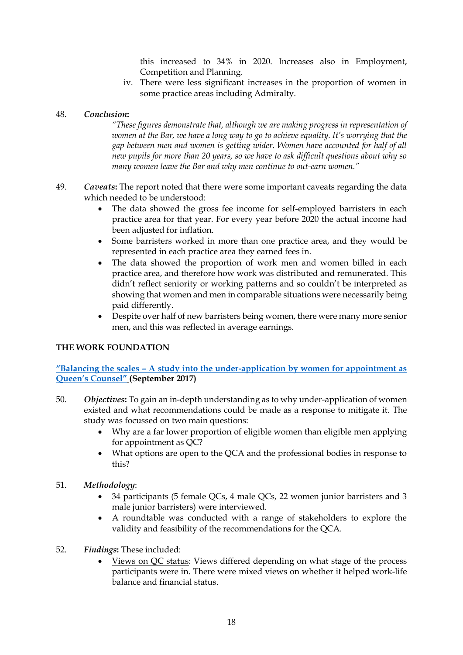this increased to 34% in 2020. Increases also in Employment, Competition and Planning.

iv. There were less significant increases in the proportion of women in some practice areas including Admiralty.

#### 48. *Conclusion***:**

*"These figures demonstrate that, although we are making progress in representation of women at the Bar, we have a long way to go to achieve equality. It's worrying that the gap between men and women is getting wider. Women have accounted for half of all new pupils for more than 20 years, so we have to ask difficult questions about why so many women leave the Bar and why men continue to out-earn women."*

- 49. *Caveats***:** The report noted that there were some important caveats regarding the data which needed to be understood:
	- The data showed the gross fee income for self-employed barristers in each practice area for that year. For every year before 2020 the actual income had been adjusted for inflation.
	- Some barristers worked in more than one practice area, and they would be represented in each practice area they earned fees in.
	- The data showed the proportion of work men and women billed in each practice area, and therefore how work was distributed and remunerated. This didn't reflect seniority or working patterns and so couldn't be interpreted as showing that women and men in comparable situations were necessarily being paid differently.
	- Despite over half of new barristers being women, there were many more senior men, and this was reflected in average earnings.

#### **THE WORK FOUNDATION**

**"Balancing the scales – [A study into the under-application by women for appointment as](https://www.lancaster.ac.uk/media/lancaster-university/content-assets/documents/lums/work-foundation/BalancingthescalesupdatedMOAccess.pdf)  [Queen's Counsel"](https://www.lancaster.ac.uk/media/lancaster-university/content-assets/documents/lums/work-foundation/BalancingthescalesupdatedMOAccess.pdf) (September 2017)**

- 50. *Objectives***:** To gain an in-depth understanding as to why under-application of women existed and what recommendations could be made as a response to mitigate it. The study was focussed on two main questions:
	- Why are a far lower proportion of eligible women than eligible men applying for appointment as QC?
	- What options are open to the QCA and the professional bodies in response to this?
- 51. *Methodology*:
	- 34 participants (5 female QCs, 4 male QCs, 22 women junior barristers and 3 male junior barristers) were interviewed.
	- A roundtable was conducted with a range of stakeholders to explore the validity and feasibility of the recommendations for the QCA.
- 52. *Findings***:** These included:
	- Views on QC status: Views differed depending on what stage of the process participants were in. There were mixed views on whether it helped work-life balance and financial status.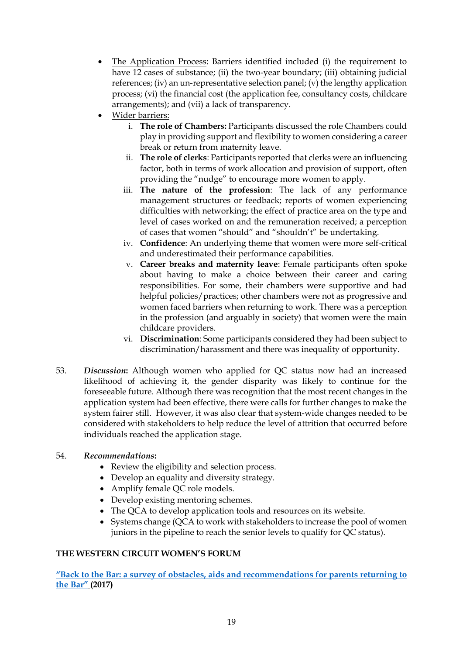- The Application Process: Barriers identified included (i) the requirement to have 12 cases of substance; (ii) the two-year boundary; (iii) obtaining judicial references; (iv) an un-representative selection panel; (v) the lengthy application process; (vi) the financial cost (the application fee, consultancy costs, childcare arrangements); and (vii) a lack of transparency.
- Wider barriers:
	- i. **The role of Chambers:** Participants discussed the role Chambers could play in providing support and flexibility to women considering a career break or return from maternity leave.
	- ii. **The role of clerks**: Participants reported that clerks were an influencing factor, both in terms of work allocation and provision of support, often providing the "nudge" to encourage more women to apply.
	- iii. **The nature of the profession**: The lack of any performance management structures or feedback; reports of women experiencing difficulties with networking; the effect of practice area on the type and level of cases worked on and the remuneration received; a perception of cases that women "should" and "shouldn't" be undertaking.
	- iv. **Confidence**: An underlying theme that women were more self-critical and underestimated their performance capabilities.
	- v. **Career breaks and maternity leave**: Female participants often spoke about having to make a choice between their career and caring responsibilities. For some, their chambers were supportive and had helpful policies/practices; other chambers were not as progressive and women faced barriers when returning to work. There was a perception in the profession (and arguably in society) that women were the main childcare providers.
	- vi. **Discrimination**: Some participants considered they had been subject to discrimination/harassment and there was inequality of opportunity.
- 53. *Discussion***:** Although women who applied for QC status now had an increased likelihood of achieving it, the gender disparity was likely to continue for the foreseeable future. Although there was recognition that the most recent changes in the application system had been effective, there were calls for further changes to make the system fairer still. However, it was also clear that system-wide changes needed to be considered with stakeholders to help reduce the level of attrition that occurred before individuals reached the application stage.

#### 54. *Recommendations***:**

- Review the eligibility and selection process.
- Develop an equality and diversity strategy.
- Amplify female QC role models.
- Develop existing mentoring schemes.
- The QCA to develop application tools and resources on its website.
- Systems change (QCA to work with stakeholders to increase the pool of women juniors in the pipeline to reach the senior levels to qualify for QC status).

# **THE WESTERN CIRCUIT WOMEN'S FORUM**

**["Back to the Bar: a survey of obstacles, aids and recommendations for parents returning to](https://westerncircuit.co.uk/wp-content/uploads/2018/11/WCWF-Back-to-the-Bar-Final-version.pdf)  [the Bar"](https://westerncircuit.co.uk/wp-content/uploads/2018/11/WCWF-Back-to-the-Bar-Final-version.pdf) (2017)**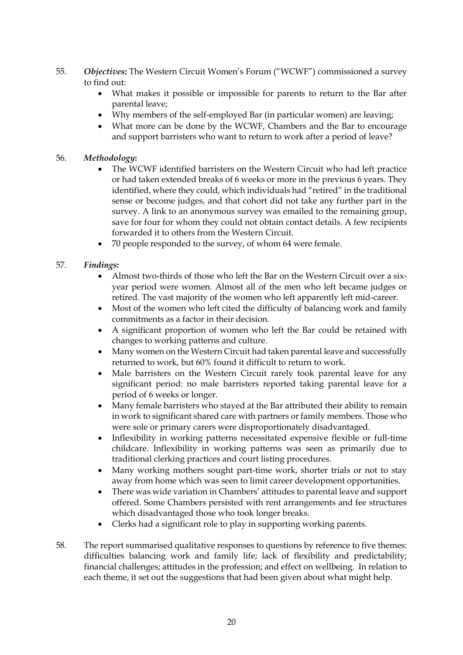- 55. *Objectives***:** The Western Circuit Women's Forum ("WCWF") commissioned a survey to find out:
	- What makes it possible or impossible for parents to return to the Bar after parental leave;
	- Why members of the self-employed Bar (in particular women) are leaving;
	- What more can be done by the WCWF, Chambers and the Bar to encourage and support barristers who want to return to work after a period of leave?

### 56. *Methodology***:**

- The WCWF identified barristers on the Western Circuit who had left practice or had taken extended breaks of 6 weeks or more in the previous 6 years. They identified, where they could, which individuals had "retired" in the traditional sense or become judges, and that cohort did not take any further part in the survey. A link to an anonymous survey was emailed to the remaining group, save for four for whom they could not obtain contact details. A few recipients forwarded it to others from the Western Circuit.
- 70 people responded to the survey, of whom 64 were female.

### 57. *Findings***:**

- Almost two-thirds of those who left the Bar on the Western Circuit over a sixyear period were women. Almost all of the men who left became judges or retired. The vast majority of the women who left apparently left mid-career.
- Most of the women who left cited the difficulty of balancing work and family commitments as a factor in their decision.
- A significant proportion of women who left the Bar could be retained with changes to working patterns and culture.
- Many women on the Western Circuit had taken parental leave and successfully returned to work, but 60% found it difficult to return to work.
- Male barristers on the Western Circuit rarely took parental leave for any significant period: no male barristers reported taking parental leave for a period of 6 weeks or longer.
- Many female barristers who stayed at the Bar attributed their ability to remain in work to significant shared care with partners or family members. Those who were sole or primary carers were disproportionately disadvantaged.
- Inflexibility in working patterns necessitated expensive flexible or full-time childcare. Inflexibility in working patterns was seen as primarily due to traditional clerking practices and court listing procedures.
- Many working mothers sought part-time work, shorter trials or not to stay away from home which was seen to limit career development opportunities.
- There was wide variation in Chambers' attitudes to parental leave and support offered. Some Chambers persisted with rent arrangements and fee structures which disadvantaged those who took longer breaks.
- Clerks had a significant role to play in supporting working parents.
- 58. The report summarised qualitative responses to questions by reference to five themes: difficulties balancing work and family life; lack of flexibility and predictability; financial challenges; attitudes in the profession; and effect on wellbeing. In relation to each theme, it set out the suggestions that had been given about what might help.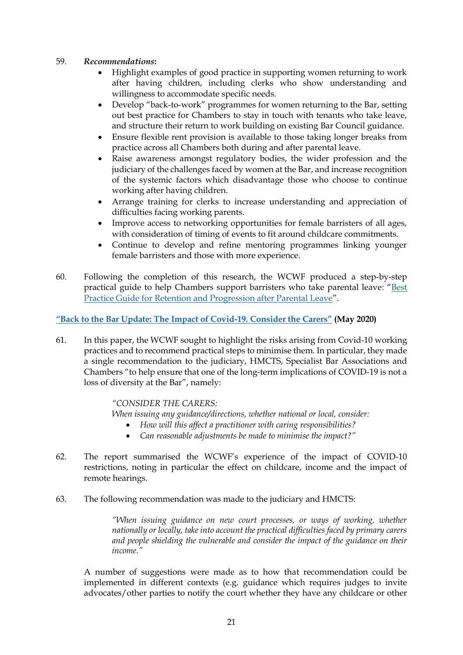#### 59. *Recommendations***:**

- Highlight examples of good practice in supporting women returning to work after having children, including clerks who show understanding and willingness to accommodate specific needs.
- Develop "back-to-work" programmes for women returning to the Bar, setting out best practice for Chambers to stay in touch with tenants who take leave, and structure their return to work building on existing Bar Council guidance.
- Ensure flexible rent provision is available to those taking longer breaks from practice across all Chambers both during and after parental leave.
- Raise awareness amongst regulatory bodies, the wider profession and the judiciary of the challenges faced by women at the Bar, and increase recognition of the systemic factors which disadvantage those who choose to continue working after having children.
- Arrange training for clerks to increase understanding and appreciation of difficulties facing working parents.
- Improve access to networking opportunities for female barristers of all ages, with consideration of timing of events to fit around childcare commitments.
- Continue to develop and refine mentoring programmes linking younger female barristers and those with more experience.
- 60. Following the completion of this research, the WCWF produced a step-by-step practical guide to help Chambers support barristers who take parental leave: "[Best](https://westerncircuit.co.uk/wp-content/uploads/2019/11/Back-to-the-Bar-Retention-and-Progression-After-Parental-Leave.pdf)  [Practice Guide for Retention and Progression after Parental Leave](https://westerncircuit.co.uk/wp-content/uploads/2019/11/Back-to-the-Bar-Retention-and-Progression-After-Parental-Leave.pdf)".

### **["Back to the Bar Update: The Impact of Covid](https://westerncircuit.co.uk/wp-content/uploads/2020/05/WCWF-Back-to-the-Bar-Update-The-Impact-of-Covid-19.pdf)-19. Consider the Carers" (May 2020)**

61. In this paper, the WCWF sought to highlight the risks arising from Covid-10 working practices and to recommend practical steps to minimise them. In particular, they made a single recommendation to the judiciary, HMCTS, Specialist Bar Associations and Chambers "to help ensure that one of the long-term implications of COVID-19 is not a loss of diversity at the Bar", namely:

#### *"CONSIDER THE CARERS:*

*When issuing any guidance/directions, whether national or local, consider:*

- *How will this affect a practitioner with caring responsibilities?*
- *Can reasonable adjustments be made to minimise the impact?"*
- 62. The report summarised the WCWF's experience of the impact of COVID-10 restrictions, noting in particular the effect on childcare, income and the impact of remote hearings.

#### 63. The following recommendation was made to the judiciary and HMCTS:

*"When issuing guidance on new court processes, or ways of working, whether nationally or locally, take into account the practical difficulties faced by primary carers and people shielding the vulnerable and consider the impact of the guidance on their income."* 

A number of suggestions were made as to how that recommendation could be implemented in different contexts (e.g. guidance which requires judges to invite advocates/other parties to notify the court whether they have any childcare or other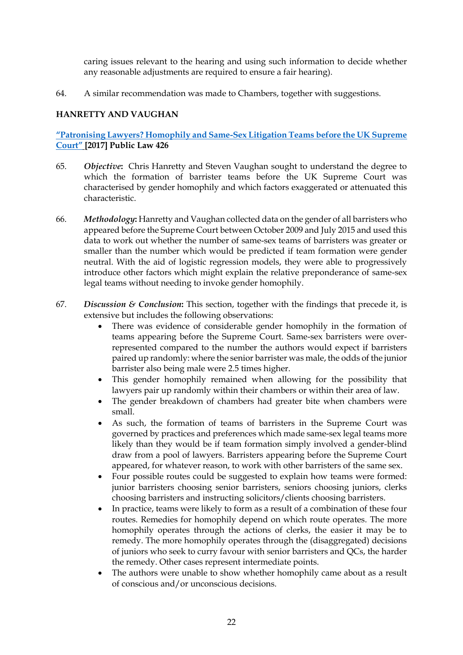caring issues relevant to the hearing and using such information to decide whether any reasonable adjustments are required to ensure a fair hearing).

64. A similar recommendation was made to Chambers, together with suggestions.

# **HANRETTY AND VAUGHAN**

**"Patronising Lawyers? Homophily and Same[-Sex Litigation Teams before the UK Supreme](http://chrishanretty.co.uk/pubs/2017-pl.pdf)  [Court"](http://chrishanretty.co.uk/pubs/2017-pl.pdf) [2017] Public Law 426**

- 65. *Objective***:** Chris Hanretty and Steven Vaughan sought to understand the degree to which the formation of barrister teams before the UK Supreme Court was characterised by gender homophily and which factors exaggerated or attenuated this characteristic.
- 66. *Methodology***:** Hanretty and Vaughan collected data on the gender of all barristers who appeared before the Supreme Court between October 2009 and July 2015 and used this data to work out whether the number of same-sex teams of barristers was greater or smaller than the number which would be predicted if team formation were gender neutral. With the aid of logistic regression models, they were able to progressively introduce other factors which might explain the relative preponderance of same-sex legal teams without needing to invoke gender homophily.
- 67. *Discussion & Conclusion***:** This section, together with the findings that precede it, is extensive but includes the following observations:
	- There was evidence of considerable gender homophily in the formation of teams appearing before the Supreme Court. Same-sex barristers were overrepresented compared to the number the authors would expect if barristers paired up randomly: where the senior barrister was male, the odds of the junior barrister also being male were 2.5 times higher.
	- This gender homophily remained when allowing for the possibility that lawyers pair up randomly within their chambers or within their area of law.
	- The gender breakdown of chambers had greater bite when chambers were small.
	- As such, the formation of teams of barristers in the Supreme Court was governed by practices and preferences which made same-sex legal teams more likely than they would be if team formation simply involved a gender-blind draw from a pool of lawyers. Barristers appearing before the Supreme Court appeared, for whatever reason, to work with other barristers of the same sex.
	- Four possible routes could be suggested to explain how teams were formed: junior barristers choosing senior barristers, seniors choosing juniors, clerks choosing barristers and instructing solicitors/clients choosing barristers.
	- In practice, teams were likely to form as a result of a combination of these four routes. Remedies for homophily depend on which route operates. The more homophily operates through the actions of clerks, the easier it may be to remedy. The more homophily operates through the (disaggregated) decisions of juniors who seek to curry favour with senior barristers and QCs, the harder the remedy. Other cases represent intermediate points.
	- The authors were unable to show whether homophily came about as a result of conscious and/or unconscious decisions.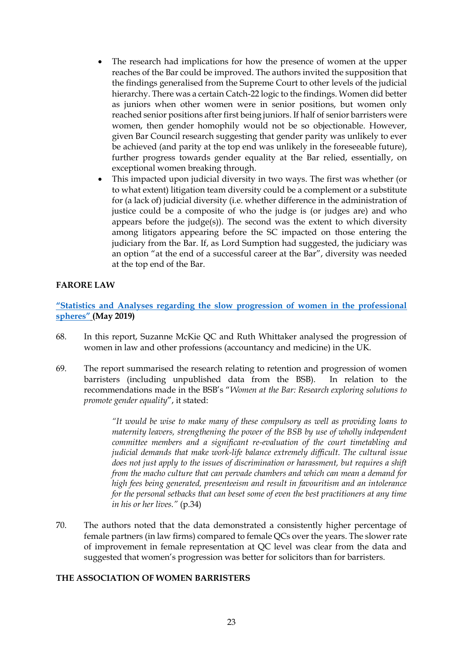- The research had implications for how the presence of women at the upper reaches of the Bar could be improved. The authors invited the supposition that the findings generalised from the Supreme Court to other levels of the judicial hierarchy. There was a certain Catch-22 logic to the findings. Women did better as juniors when other women were in senior positions, but women only reached senior positions after first being juniors. If half of senior barristers were women, then gender homophily would not be so objectionable. However, given Bar Council research suggesting that gender parity was unlikely to ever be achieved (and parity at the top end was unlikely in the foreseeable future), further progress towards gender equality at the Bar relied, essentially, on exceptional women breaking through.
- This impacted upon judicial diversity in two ways. The first was whether (or to what extent) litigation team diversity could be a complement or a substitute for (a lack of) judicial diversity (i.e. whether difference in the administration of justice could be a composite of who the judge is (or judges are) and who appears before the judge(s)). The second was the extent to which diversity among litigators appearing before the SC impacted on those entering the judiciary from the Bar. If, as Lord Sumption had suggested, the judiciary was an option "at the end of a successful career at the Bar", diversity was needed at the top end of the Bar.

### **FARORE LAW**

**["Statistics and Analyses regarding the slow progression of women in the professional](https://www.farorelaw.co.uk/farore-law-report-may-2019)  [spheres"](https://www.farorelaw.co.uk/farore-law-report-may-2019) (May 2019)**

- 68. In this report, Suzanne McKie QC and Ruth Whittaker analysed the progression of women in law and other professions (accountancy and medicine) in the UK.
- 69. The report summarised the research relating to retention and progression of women barristers (including unpublished data from the BSB). In relation to the recommendations made in the BSB's "*Women at the Bar: Research exploring solutions to promote gender equality*", it stated:

*"It would be wise to make many of these compulsory as well as providing loans to maternity leavers, strengthening the power of the BSB by use of wholly independent committee members and a significant re-evaluation of the court timetabling and judicial demands that make work-life balance extremely difficult. The cultural issue does not just apply to the issues of discrimination or harassment, but requires a shift from the macho culture that can pervade chambers and which can mean a demand for high fees being generated, presenteeism and result in favouritism and an intolerance for the personal setbacks that can beset some of even the best practitioners at any time in his or her lives."* (p.34)

70. The authors noted that the data demonstrated a consistently higher percentage of female partners (in law firms) compared to female QCs over the years. The slower rate of improvement in female representation at QC level was clear from the data and suggested that women's progression was better for solicitors than for barristers.

#### **THE ASSOCIATION OF WOMEN BARRISTERS**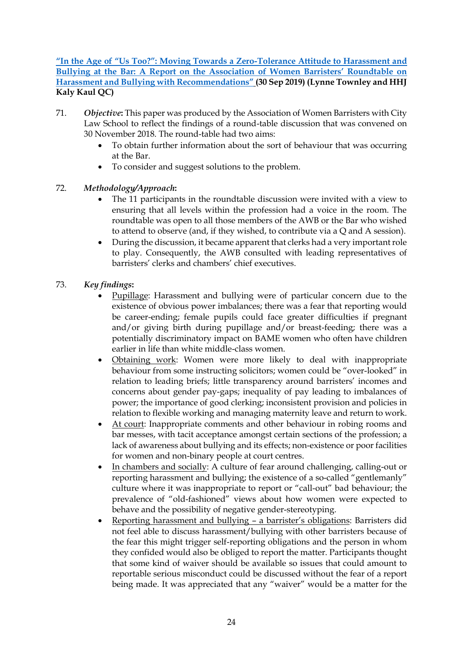**["In the Age of "Us Too?": Moving Towards a Zero](https://www.city.ac.uk/__data/assets/pdf_file/0006/492594/AWB-Anti-Bullying-Round-Table-Report-Oct-2019.pdf)-Tolerance Attitude to Harassment and [Bullying at the Bar: A Report on the Association](https://www.city.ac.uk/__data/assets/pdf_file/0006/492594/AWB-Anti-Bullying-Round-Table-Report-Oct-2019.pdf) of Women Barristers' Roundtable on [Harassment and Bullying with Recommendations"](https://www.city.ac.uk/__data/assets/pdf_file/0006/492594/AWB-Anti-Bullying-Round-Table-Report-Oct-2019.pdf) (30 Sep 2019) (Lynne Townley and HHJ Kaly Kaul QC)**

- 71. *Objective***:** This paper was produced by the Association of Women Barristers with City Law School to reflect the findings of a round-table discussion that was convened on 30 November 2018. The round-table had two aims:
	- To obtain further information about the sort of behaviour that was occurring at the Bar.
	- To consider and suggest solutions to the problem.

# 72. *Methodology/Approach***:**

- The 11 participants in the roundtable discussion were invited with a view to ensuring that all levels within the profession had a voice in the room. The roundtable was open to all those members of the AWB or the Bar who wished to attend to observe (and, if they wished, to contribute via a Q and A session).
- During the discussion, it became apparent that clerks had a very important role to play. Consequently, the AWB consulted with leading representatives of barristers' clerks and chambers' chief executives.
- 73. *Key findings***:** 
	- Pupillage: Harassment and bullying were of particular concern due to the existence of obvious power imbalances; there was a fear that reporting would be career-ending; female pupils could face greater difficulties if pregnant and/or giving birth during pupillage and/or breast-feeding; there was a potentially discriminatory impact on BAME women who often have children earlier in life than white middle-class women.
	- Obtaining work: Women were more likely to deal with inappropriate behaviour from some instructing solicitors; women could be "over-looked" in relation to leading briefs; little transparency around barristers' incomes and concerns about gender pay-gaps; inequality of pay leading to imbalances of power; the importance of good clerking; inconsistent provision and policies in relation to flexible working and managing maternity leave and return to work.
	- At court: Inappropriate comments and other behaviour in robing rooms and bar messes, with tacit acceptance amongst certain sections of the profession; a lack of awareness about bullying and its effects; non-existence or poor facilities for women and non-binary people at court centres.
	- In chambers and socially: A culture of fear around challenging, calling-out or reporting harassment and bullying; the existence of a so-called "gentlemanly" culture where it was inappropriate to report or "call-out" bad behaviour; the prevalence of "old-fashioned" views about how women were expected to behave and the possibility of negative gender-stereotyping.
	- Reporting harassment and bullying a barrister's obligations: Barristers did not feel able to discuss harassment/bullying with other barristers because of the fear this might trigger self-reporting obligations and the person in whom they confided would also be obliged to report the matter. Participants thought that some kind of waiver should be available so issues that could amount to reportable serious misconduct could be discussed without the fear of a report being made. It was appreciated that any "waiver" would be a matter for the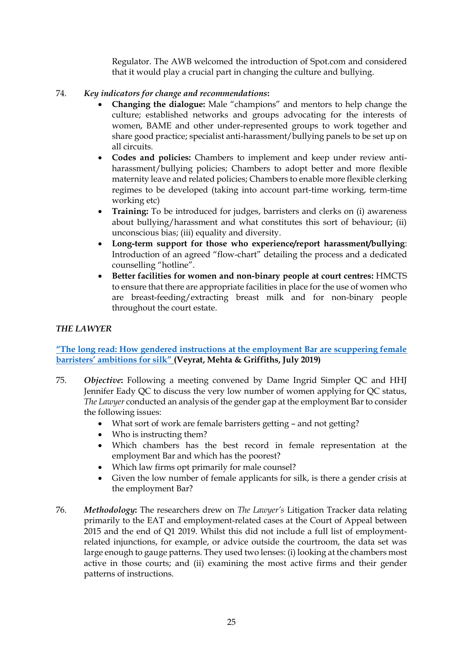Regulator. The AWB welcomed the introduction of Spot.com and considered that it would play a crucial part in changing the culture and bullying.

# 74. *Key indicators for change and recommendations***:**

- **Changing the dialogue:** Male "champions" and mentors to help change the culture; established networks and groups advocating for the interests of women, BAME and other under-represented groups to work together and share good practice; specialist anti-harassment/bullying panels to be set up on all circuits.
- **Codes and policies:** Chambers to implement and keep under review antiharassment/bullying policies; Chambers to adopt better and more flexible maternity leave and related policies; Chambers to enable more flexible clerking regimes to be developed (taking into account part-time working, term-time working etc)
- **Training:** To be introduced for judges, barristers and clerks on (i) awareness about bullying/harassment and what constitutes this sort of behaviour; (ii) unconscious bias; (iii) equality and diversity.
- **Long-term support for those who experience/report harassment/bullying**: Introduction of an agreed "flow-chart" detailing the process and a dedicated counselling "hotline".
- **Better facilities for women and non-binary people at court centres:** HMCTS to ensure that there are appropriate facilities in place for the use of women who are breast-feeding/extracting breast milk and for non-binary people throughout the court estate.

# *THE LAWYER*

# **["The long read: How gendered instructions at the employment Bar are scuppering female](https://www.thelawyer.com/the-long-read-gender-crisis-at-the-bar/)  [barristers' ambitions for silk"](https://www.thelawyer.com/the-long-read-gender-crisis-at-the-bar/) (Veyrat, Mehta & Griffiths, July 2019)**

- 75. *Objective***:** Following a meeting convened by Dame Ingrid Simpler QC and HHJ Jennifer Eady QC to discuss the very low number of women applying for QC status, *The Lawyer* conducted an analysis of the gender gap at the employment Bar to consider the following issues:
	- What sort of work are female barristers getting and not getting?
	- Who is instructing them?
	- Which chambers has the best record in female representation at the employment Bar and which has the poorest?
	- Which law firms opt primarily for male counsel?
	- Given the low number of female applicants for silk, is there a gender crisis at the employment Bar?
- 76. *Methodology***:** The researchers drew on *The Lawyer's* Litigation Tracker data relating primarily to the EAT and employment-related cases at the Court of Appeal between 2015 and the end of Q1 2019. Whilst this did not include a full list of employmentrelated injunctions, for example, or advice outside the courtroom, the data set was large enough to gauge patterns. They used two lenses: (i) looking at the chambers most active in those courts; and (ii) examining the most active firms and their gender patterns of instructions.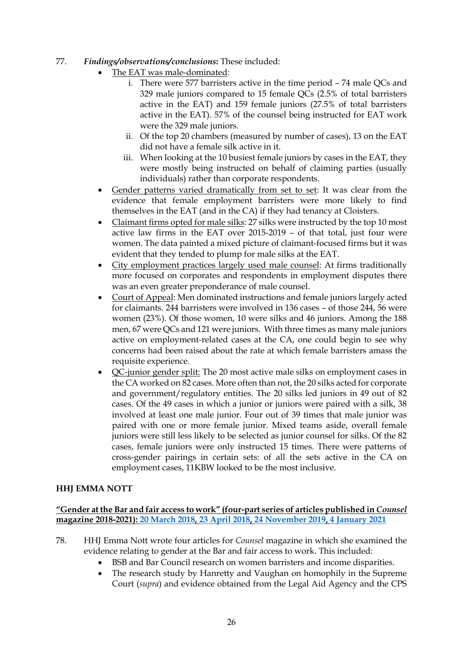- 77. *Findings/observations/conclusions***:** These included:
	- The EAT was male-dominated:
		- i. There were 577 barristers active in the time period 74 male QCs and 329 male juniors compared to 15 female QCs (2.5% of total barristers active in the EAT) and 159 female juniors (27.5% of total barristers active in the EAT). 57% of the counsel being instructed for EAT work were the 329 male juniors.
		- ii. Of the top 20 chambers (measured by number of cases), 13 on the EAT did not have a female silk active in it.
		- iii. When looking at the 10 busiest female juniors by cases in the EAT, they were mostly being instructed on behalf of claiming parties (usually individuals) rather than corporate respondents.
	- Gender patterns varied dramatically from set to set: It was clear from the evidence that female employment barristers were more likely to find themselves in the EAT (and in the CA) if they had tenancy at Cloisters.
	- Claimant firms opted for male silks: 27 silks were instructed by the top 10 most active law firms in the EAT over 2015-2019 – of that total, just four were women. The data painted a mixed picture of claimant-focused firms but it was evident that they tended to plump for male silks at the EAT.
	- City employment practices largely used male counsel: At firms traditionally more focused on corporates and respondents in employment disputes there was an even greater preponderance of male counsel.
	- Court of Appeal: Men dominated instructions and female juniors largely acted for claimants. 244 barristers were involved in 136 cases – of those 244, 56 were women (23%). Of those women, 10 were silks and 46 juniors. Among the 188 men, 67 were QCs and 121 were juniors. With three times as many male juniors active on employment-related cases at the CA, one could begin to see why concerns had been raised about the rate at which female barristers amass the requisite experience.
	- QC-junior gender split: The 20 most active male silks on employment cases in the CA worked on 82 cases. More often than not, the 20 silks acted for corporate and government/regulatory entities. The 20 silks led juniors in 49 out of 82 cases. Of the 49 cases in which a junior or juniors were paired with a silk, 38 involved at least one male junior. Four out of 39 times that male junior was paired with one or more female junior. Mixed teams aside, overall female juniors were still less likely to be selected as junior counsel for silks. Of the 82 cases, female juniors were only instructed 15 times. There were patterns of cross-gender pairings in certain sets: of all the sets active in the CA on employment cases, 11KBW looked to be the most inclusive.

# **HHJ EMMA NOTT**

### **"Gender at the Bar and fair access to work" (four-part series of articles published in** *Counsel*  **magazine 2018-2021): [20 March 2018,](https://www.counselmagazine.co.uk/articles/gender-the-bar-and-fair-access-work-1) [23 April 2018,](https://www.counselmagazine.co.uk/articles/gender-the-bar-and-fair-access-work-2) [24 November 2019,](https://www.counselmagazine.co.uk/articles/gender-at-the-bar-and-fair-access-to-work-(3)) [4 January 2021](https://www.counselmagazine.co.uk/articles/gender-at-the-bar-fair-access-to-work-(4))**

- 78. HHJ Emma Nott wrote four articles for *Counsel* magazine in which she examined the evidence relating to gender at the Bar and fair access to work. This included:
	- BSB and Bar Council research on women barristers and income disparities.
	- The research study by Hanretty and Vaughan on homophily in the Supreme Court (*supra*) and evidence obtained from the Legal Aid Agency and the CPS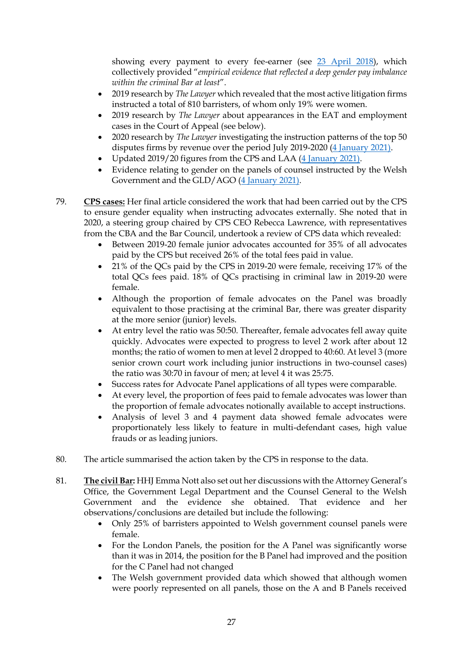showing every payment to every fee-earner (see [23 April 2018\)](https://www.counselmagazine.co.uk/articles/gender-the-bar-and-fair-access-work-2), which collectively provided "*empirical evidence that reflected a deep gender pay imbalance within the criminal Bar at least*".

- 2019 research by *The Lawyer* which revealed that the most active litigation firms instructed a total of 810 barristers, of whom only 19% were women.
- 2019 research by *The Lawyer* about appearances in the EAT and employment cases in the Court of Appeal (see below).
- 2020 research by *The Lawyer* investigating the instruction patterns of the top 50 disputes firms by revenue over the period July 2019-2020 [\(4 January 2021\)](https://www.counselmagazine.co.uk/articles/gender-at-the-bar-fair-access-to-work-(4)).
- Updated 2019/20 figures from the CPS and LAA [\(4 January 2021\)](https://www.counselmagazine.co.uk/articles/gender-at-the-bar-fair-access-to-work-(4)).
- Evidence relating to gender on the panels of counsel instructed by the Welsh Government and the GLD/AGO [\(4 January 2021\)](https://www.counselmagazine.co.uk/articles/gender-at-the-bar-fair-access-to-work-(4)).
- 79. **CPS cases:** Her final article considered the work that had been carried out by the CPS to ensure gender equality when instructing advocates externally. She noted that in 2020, a steering group chaired by CPS CEO Rebecca Lawrence, with representatives from the CBA and the Bar Council, undertook a review of CPS data which revealed:
	- Between 2019-20 female junior advocates accounted for 35% of all advocates paid by the CPS but received 26% of the total fees paid in value.
	- 21% of the QCs paid by the CPS in 2019-20 were female, receiving 17% of the total QCs fees paid. 18% of QCs practising in criminal law in 2019-20 were female.
	- Although the proportion of female advocates on the Panel was broadly equivalent to those practising at the criminal Bar, there was greater disparity at the more senior (junior) levels.
	- At entry level the ratio was 50:50. Thereafter, female advocates fell away quite quickly. Advocates were expected to progress to level 2 work after about 12 months; the ratio of women to men at level 2 dropped to 40:60. At level 3 (more senior crown court work including junior instructions in two-counsel cases) the ratio was 30:70 in favour of men; at level 4 it was 25:75.
	- Success rates for Advocate Panel applications of all types were comparable.
	- At every level, the proportion of fees paid to female advocates was lower than the proportion of female advocates notionally available to accept instructions.
	- Analysis of level 3 and 4 payment data showed female advocates were proportionately less likely to feature in multi-defendant cases, high value frauds or as leading juniors.
- 80. The article summarised the action taken by the CPS in response to the data.
- 81. **The civil Bar:** HHJ Emma Nott also set out her discussions with the Attorney General's Office, the Government Legal Department and the Counsel General to the Welsh Government and the evidence she obtained. That evidence and her observations/conclusions are detailed but include the following:
	- Only 25% of barristers appointed to Welsh government counsel panels were female.
	- For the London Panels, the position for the A Panel was significantly worse than it was in 2014, the position for the B Panel had improved and the position for the C Panel had not changed
	- The Welsh government provided data which showed that although women were poorly represented on all panels, those on the A and B Panels received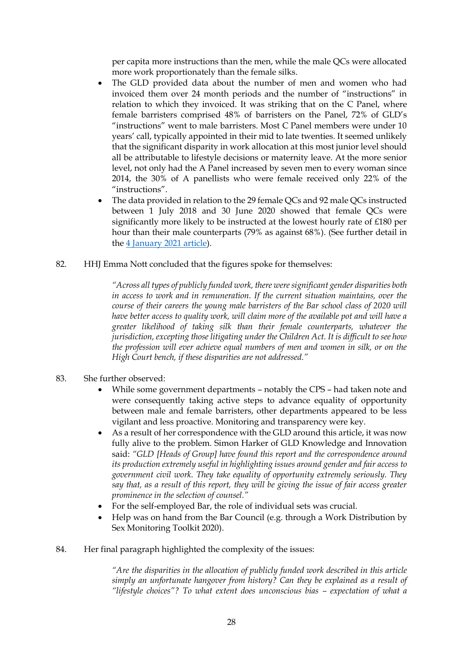per capita more instructions than the men, while the male QCs were allocated more work proportionately than the female silks.

- The GLD provided data about the number of men and women who had invoiced them over 24 month periods and the number of "instructions" in relation to which they invoiced. It was striking that on the C Panel, where female barristers comprised 48% of barristers on the Panel, 72% of GLD's "instructions" went to male barristers. Most C Panel members were under 10 years' call, typically appointed in their mid to late twenties. It seemed unlikely that the significant disparity in work allocation at this most junior level should all be attributable to lifestyle decisions or maternity leave. At the more senior level, not only had the A Panel increased by seven men to every woman since 2014, the 30% of A panellists who were female received only 22% of the "instructions".
- The data provided in relation to the 29 female QCs and 92 male QCs instructed between 1 July 2018 and 30 June 2020 showed that female QCs were significantly more likely to be instructed at the lowest hourly rate of £180 per hour than their male counterparts (79% as against 68%). (See further detail in the [4 January 2021](https://www.counselmagazine.co.uk/articles/gender-at-the-bar-fair-access-to-work-(4)) article).
- 82. HHJ Emma Nott concluded that the figures spoke for themselves:

*"Across all types of publicly funded work, there were significant gender disparities both in access to work and in remuneration. If the current situation maintains, over the course of their careers the young male barristers of the Bar school class of 2020 will have better access to quality work, will claim more of the available pot and will have a greater likelihood of taking silk than their female counterparts, whatever the jurisdiction, excepting those litigating under the Children Act. It is difficult to see how the profession will ever achieve equal numbers of men and women in silk, or on the High Court bench, if these disparities are not addressed."*

- 83. She further observed:
	- While some government departments notably the CPS had taken note and were consequently taking active steps to advance equality of opportunity between male and female barristers, other departments appeared to be less vigilant and less proactive. Monitoring and transparency were key.
	- As a result of her correspondence with the GLD around this article, it was now fully alive to the problem. Simon Harker of GLD Knowledge and Innovation said: *"GLD [Heads of Group] have found this report and the correspondence around its production extremely useful in highlighting issues around gender and fair access to government civil work. They take equality of opportunity extremely seriously. They say that, as a result of this report, they will be giving the issue of fair access greater prominence in the selection of counsel."*
	- For the self-employed Bar, the role of individual sets was crucial.
	- Help was on hand from the Bar Council (e.g. through a Work Distribution by Sex Monitoring Toolkit 2020).
- 84. Her final paragraph highlighted the complexity of the issues:

*"Are the disparities in the allocation of publicly funded work described in this article simply an unfortunate hangover from history? Can they be explained as a result of "lifestyle choices"? To what extent does unconscious bias – expectation of what a*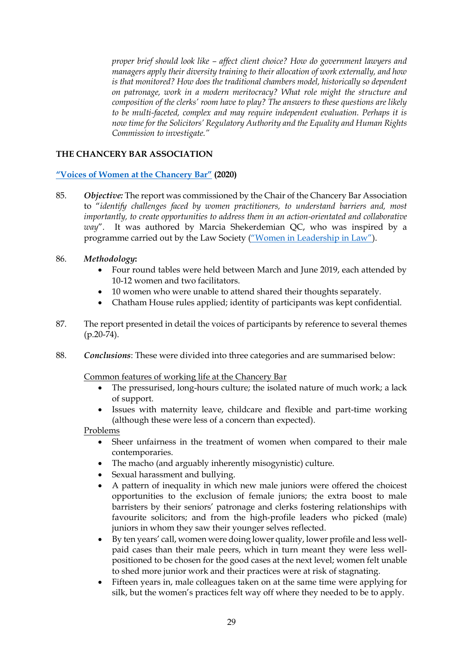*proper brief should look like – affect client choice? How do government lawyers and managers apply their diversity training to their allocation of work externally, and how is that monitored? How does the traditional chambers model, historically so dependent on patronage, work in a modern meritocracy? What role might the structure and composition of the clerks' room have to play? The answers to these questions are likely to be multi-faceted, complex and may require independent evaluation. Perhaps it is now time for the Solicitors' Regulatory Authority and the Equality and Human Rights Commission to investigate."*

### **THE CHANCERY BAR ASSOCIATION**

### **["Voices of Women at the Chancery Bar"](https://www.chba.org.uk/for-members/library/consultation-responses/voices-of-women-at-chancery-bar) (2020)**

- 85. *Objective:* The report was commissioned by the Chair of the Chancery Bar Association to "*identify challenges faced by women practitioners, to understand barriers and, most importantly, to create opportunities to address them in an action-orientated and collaborative way*". It was authored by Marcia Shekerdemian QC, who was inspired by a programme carried out by the Law Society (["Women in Leadership in Law"](https://www.lawsociety.org.uk/campaigns/women-in-leadership-in-law)).
- 86. *Methodology***:** 
	- Four round tables were held between March and June 2019, each attended by 10-12 women and two facilitators.
	- 10 women who were unable to attend shared their thoughts separately.
	- Chatham House rules applied; identity of participants was kept confidential.
- 87. The report presented in detail the voices of participants by reference to several themes  $(p.20-74)$ .
- 88. *Conclusions*: These were divided into three categories and are summarised below:

#### Common features of working life at the Chancery Bar

- The pressurised, long-hours culture; the isolated nature of much work; a lack of support.
- Issues with maternity leave, childcare and flexible and part-time working (although these were less of a concern than expected).

#### Problems

- Sheer unfairness in the treatment of women when compared to their male contemporaries.
- The macho (and arguably inherently misogynistic) culture.
- Sexual harassment and bullying.
- A pattern of inequality in which new male juniors were offered the choicest opportunities to the exclusion of female juniors; the extra boost to male barristers by their seniors' patronage and clerks fostering relationships with favourite solicitors; and from the high-profile leaders who picked (male) juniors in whom they saw their younger selves reflected.
- By ten years' call, women were doing lower quality, lower profile and less wellpaid cases than their male peers, which in turn meant they were less wellpositioned to be chosen for the good cases at the next level; women felt unable to shed more junior work and their practices were at risk of stagnating.
- Fifteen years in, male colleagues taken on at the same time were applying for silk, but the women's practices felt way off where they needed to be to apply.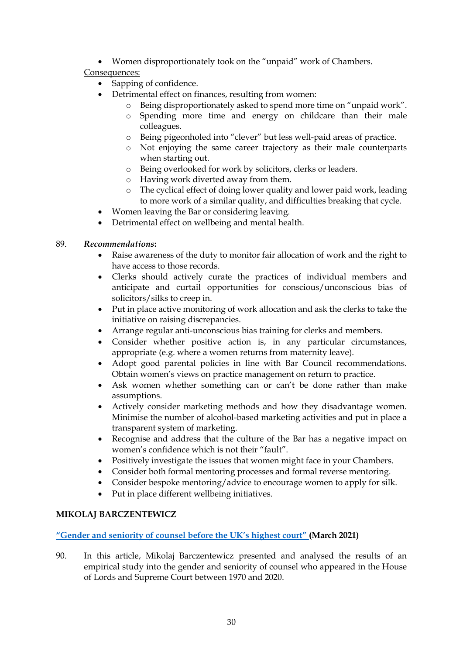Women disproportionately took on the "unpaid" work of Chambers.

# Consequences:

- Sapping of confidence.
	- Detrimental effect on finances, resulting from women:
		- o Being disproportionately asked to spend more time on "unpaid work".
		- o Spending more time and energy on childcare than their male colleagues.
		- o Being pigeonholed into "clever" but less well-paid areas of practice.
		- o Not enjoying the same career trajectory as their male counterparts when starting out.
		- o Being overlooked for work by solicitors, clerks or leaders.
		- o Having work diverted away from them.
		- o The cyclical effect of doing lower quality and lower paid work, leading to more work of a similar quality, and difficulties breaking that cycle.
- Women leaving the Bar or considering leaving.
- Detrimental effect on wellbeing and mental health.

# 89. *Recommendations***:**

- Raise awareness of the duty to monitor fair allocation of work and the right to have access to those records.
- Clerks should actively curate the practices of individual members and anticipate and curtail opportunities for conscious/unconscious bias of solicitors/silks to creep in.
- Put in place active monitoring of work allocation and ask the clerks to take the initiative on raising discrepancies.
- Arrange regular anti-unconscious bias training for clerks and members.
- Consider whether positive action is, in any particular circumstances, appropriate (e.g. where a women returns from maternity leave).
- Adopt good parental policies in line with Bar Council recommendations. Obtain women's views on practice management on return to practice.
- Ask women whether something can or can't be done rather than make assumptions.
- Actively consider marketing methods and how they disadvantage women. Minimise the number of alcohol-based marketing activities and put in place a transparent system of marketing.
- Recognise and address that the culture of the Bar has a negative impact on women's confidence which is not their "fault".
- Positively investigate the issues that women might face in your Chambers.
- Consider both formal mentoring processes and formal reverse mentoring.
- Consider bespoke mentoring/advice to encourage women to apply for silk.
- Put in place different wellbeing initiatives.

# **MIKOLAJ BARCZENTEWICZ**

# **["Gender and seniority of counsel before the UK's highest court"](https://courts.barczentewicz.com/) (March 2021)**

90. In this article, Mikolaj Barczentewicz presented and analysed the results of an empirical study into the gender and seniority of counsel who appeared in the House of Lords and Supreme Court between 1970 and 2020.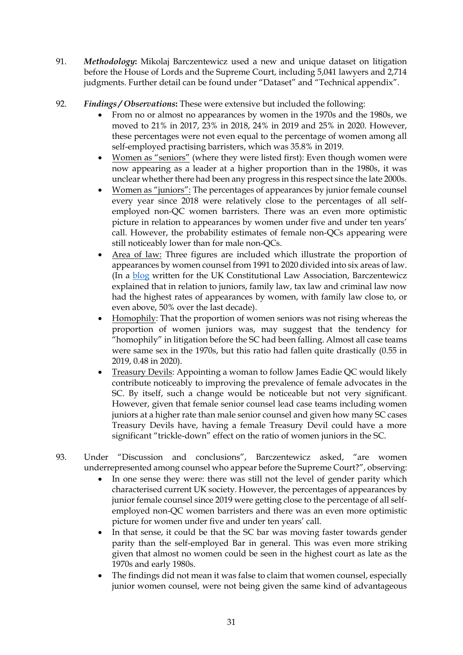- 91. *Methodology***:** Mikolaj Barczentewicz used a new and unique dataset on litigation before the House of Lords and the Supreme Court, including 5,041 lawyers and 2,714 judgments. Further detail can be found under "Dataset" and "Technical appendix".
- 92. *Findings / Observations***:** These were extensive but included the following:
	- From no or almost no appearances by women in the 1970s and the 1980s, we moved to 21% in 2017, 23% in 2018, 24% in 2019 and 25% in 2020. However, these percentages were not even equal to the percentage of women among all self-employed practising barristers, which was 35.8% in 2019.
	- Women as "seniors" (where they were listed first): Even though women were now appearing as a leader at a higher proportion than in the 1980s, it was unclear whether there had been any progress in this respect since the late 2000s.
	- Women as "juniors": The percentages of appearances by junior female counsel every year since 2018 were relatively close to the percentages of all selfemployed non-QC women barristers. There was an even more optimistic picture in relation to appearances by women under five and under ten years' call. However, the probability estimates of female non-QCs appearing were still noticeably lower than for male non-QCs.
	- Area of law: Three figures are included which illustrate the proportion of appearances by women counsel from 1991 to 2020 divided into six areas of law. (In a [blog](https://ukconstitutionallaw.org/2021/03/15/mikolaj-barczentewicz-an-empirical-study-of-the-gender-of-counsel-before-the-uks-highest-court/) written for the UK Constitutional Law Association, Barczentewicz explained that in relation to juniors, family law, tax law and criminal law now had the highest rates of appearances by women, with family law close to, or even above, 50% over the last decade).
	- Homophily: That the proportion of women seniors was not rising whereas the proportion of women juniors was, may suggest that the tendency for "homophily" in litigation before the SC had been falling. Almost all case teams were same sex in the 1970s, but this ratio had fallen quite drastically (0.55 in 2019, 0.48 in 2020).
	- Treasury Devils: Appointing a woman to follow James Eadie QC would likely contribute noticeably to improving the prevalence of female advocates in the SC. By itself, such a change would be noticeable but not very significant. However, given that female senior counsel lead case teams including women juniors at a higher rate than male senior counsel and given how many SC cases Treasury Devils have, having a female Treasury Devil could have a more significant "trickle-down" effect on the ratio of women juniors in the SC.
- 93. Under "Discussion and conclusions", Barczentewicz asked, "are women underrepresented among counsel who appear before the Supreme Court?", observing:
	- In one sense they were: there was still not the level of gender parity which characterised current UK society. However, the percentages of appearances by junior female counsel since 2019 were getting close to the percentage of all selfemployed non-QC women barristers and there was an even more optimistic picture for women under five and under ten years' call.
	- In that sense, it could be that the SC bar was moving faster towards gender parity than the self-employed Bar in general. This was even more striking given that almost no women could be seen in the highest court as late as the 1970s and early 1980s.
	- The findings did not mean it was false to claim that women counsel, especially junior women counsel, were not being given the same kind of advantageous